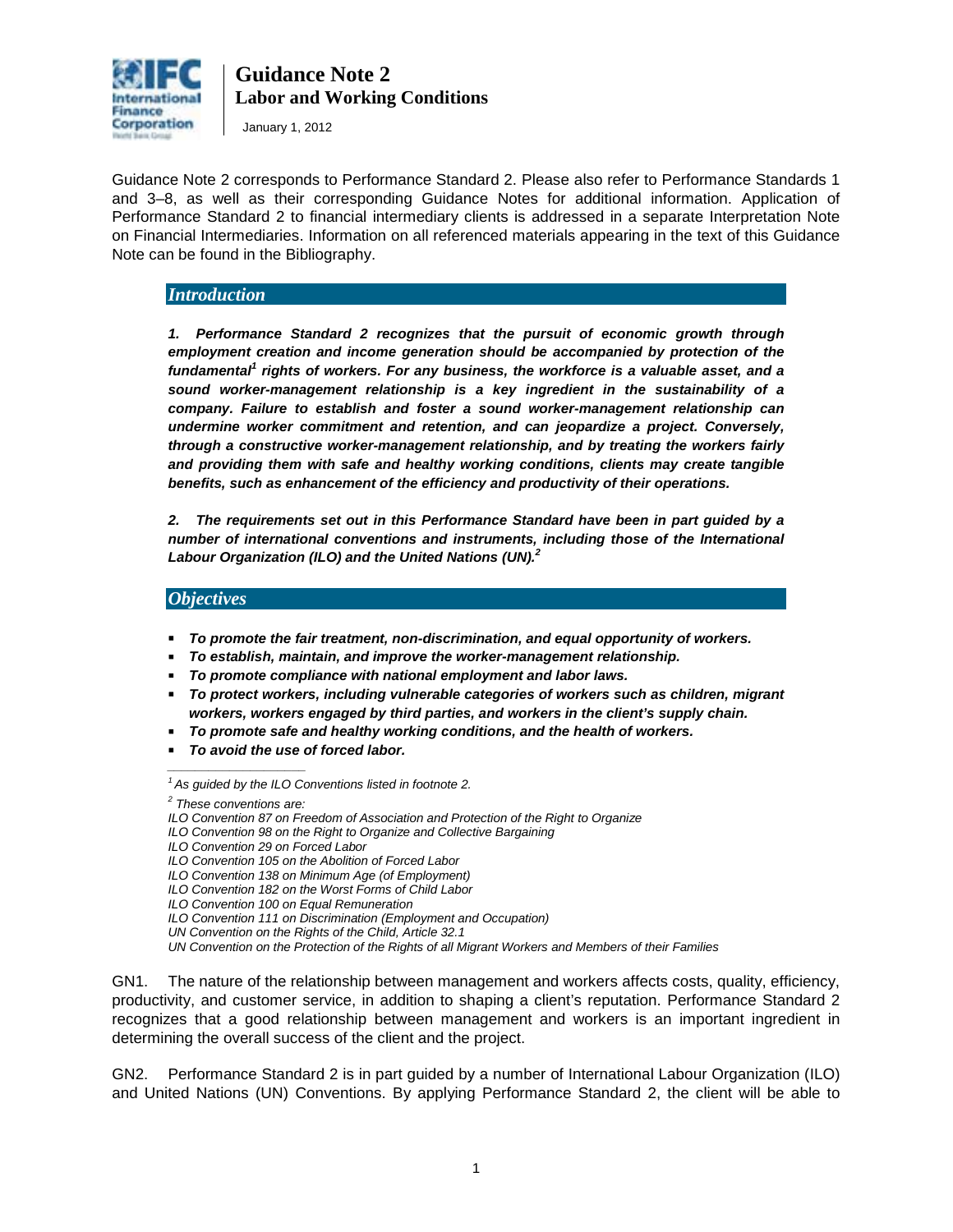

January 1, 2012

Guidance Note 2 corresponds to Performance Standard 2. Please also refer to Performance Standards 1 and 3–8, as well as their corresponding Guidance Notes for additional information. Application of Performance Standard 2 to financial intermediary clients is addressed in a separate Interpretation Note on Financial Intermediaries. Information on all referenced materials appearing in the text of this Guidance Note can be found in the Bibliography.

### *Introduction*

*1. Performance Standard 2 recognizes that the pursuit of economic growth through employment creation and income generation should be accompanied by protection of the fundamental<sup>1</sup> rights of workers. For any business, the workforce is a valuable asset, and a sound worker-management relationship is a key ingredient in the sustainability of a company. Failure to establish and foster a sound worker-management relationship can undermine worker commitment and retention, and can jeopardize a project. Conversely, through a constructive worker-management relationship, and by treating the workers fairly and providing them with safe and healthy working conditions, clients may create tangible benefits, such as enhancement of the efficiency and productivity of their operations.* 

*2. The requirements set out in this Performance Standard have been in part guided by a number of international conventions and instruments, including those of the International Labour Organization (ILO) and the United Nations (UN). 2*

## *Objectives*

- *To promote the fair treatment, non-discrimination, and equal opportunity of workers.*
- *To establish, maintain, and improve the worker-management relationship.*
- *To promote compliance with national employment and labor laws.*
- *To protect workers, including vulnerable categories of workers such as children, migrant workers, workers engaged by third parties, and workers in the client's supply chain.*
- *To promote safe and healthy working conditions, and the health of workers.*
- *To avoid the use of forced labor.*

*\_\_\_\_\_\_\_\_\_\_\_\_\_\_\_\_\_\_\_\_*

<span id="page-0-0"></span>GN1. The nature of the relationship between management and workers affects costs, quality, efficiency, productivity, and customer service, in addition to shaping a client's reputation. Performance Standard 2 recognizes that a good relationship between management and workers is an important ingredient in determining the overall success of the client and the project.

GN2. Performance Standard 2 is in part guided by a number of International Labour Organization (ILO) and United Nations (UN) Conventions. By applying Performance Standard 2, the client will be able to

*<sup>1</sup> As guided by the ILO Conventions listed in footnote 2.*

*<sup>2</sup> These conventions are:*

*ILO Convention 87 on Freedom of Association and Protection of the Right to Organize*

*ILO Convention 98 on the Right to Organize and Collective Bargaining*

*ILO Convention 29 on Forced Labor*

*ILO Convention 105 on the Abolition of Forced Labor*

*ILO Convention 138 on Minimum Age (of Employment) ILO Convention 182 on the Worst Forms of Child Labor* 

*ILO Convention 100 on Equal Remuneration*

*ILO Convention 111 on Discrimination (Employment and Occupation)*

*UN Convention on the Rights of the Child, Article 32.1*

*UN Convention on the Protection of the Rights of all Migrant Workers and Members of their Families*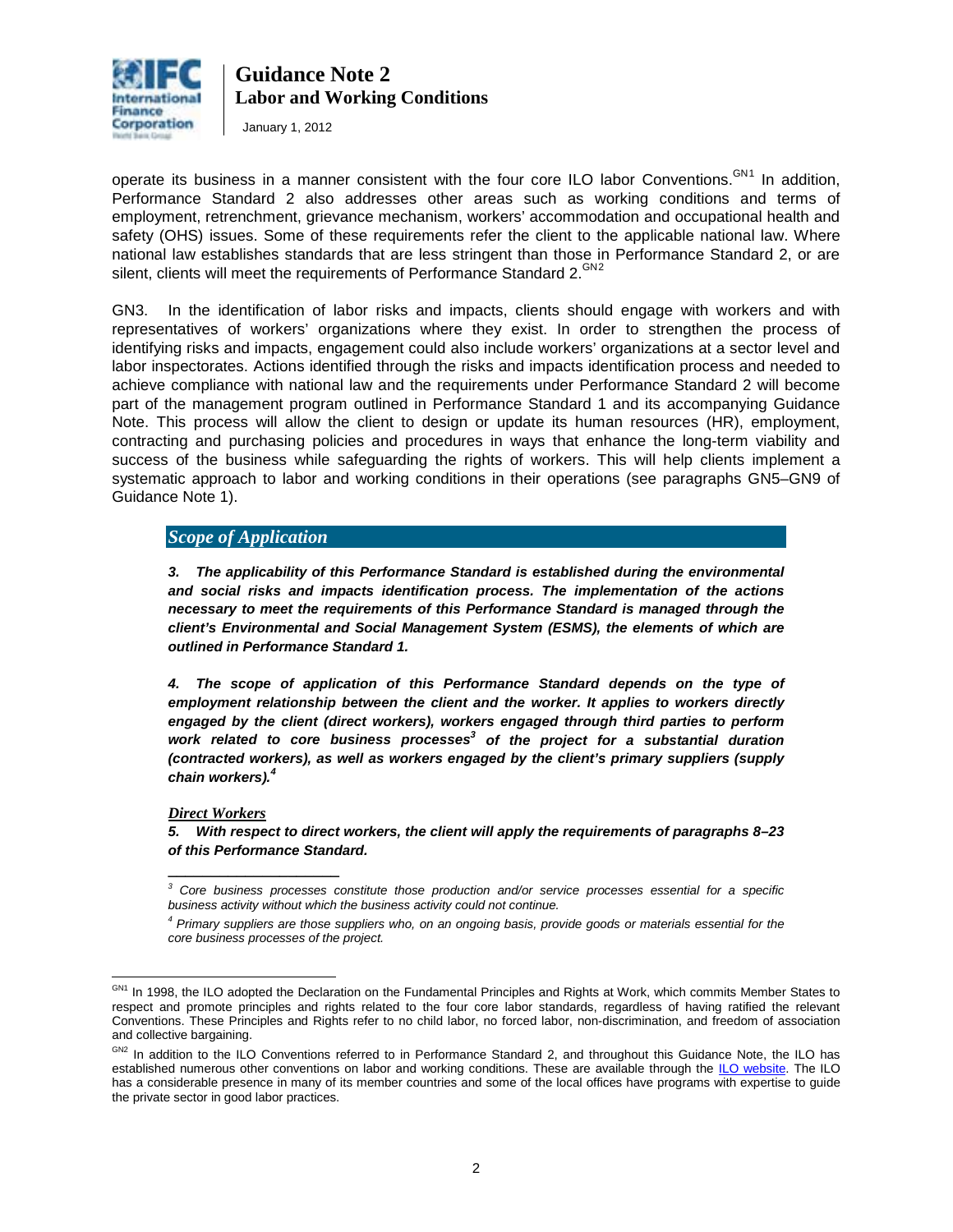

January 1, 2012

operate its business in a manner consistent with the four core ILO labor Conventions.<sup>GN[1](#page-0-0)</sup> In addition, Performance Standard 2 also addresses other areas such as working conditions and terms of employment, retrenchment, grievance mechanism, workers' accommodation and occupational health and safety (OHS) issues. Some of these requirements refer the client to the applicable national law. Where national law establishes standards that are less stringent than those in Performance Standard 2, or are silent, clients will meet the requirements of Performance Standard [2](#page-1-0).<sup>GN2</sup>

GN3. In the identification of labor risks and impacts, clients should engage with workers and with representatives of workers' organizations where they exist. In order to strengthen the process of identifying risks and impacts, engagement could also include workers' organizations at a sector level and labor inspectorates. Actions identified through the risks and impacts identification process and needed to achieve compliance with national law and the requirements under Performance Standard 2 will become part of the management program outlined in Performance Standard 1 and its accompanying Guidance Note. This process will allow the client to design or update its human resources (HR), employment, contracting and purchasing policies and procedures in ways that enhance the long-term viability and success of the business while safeguarding the rights of workers. This will help clients implement a systematic approach to labor and working conditions in their operations (see paragraphs GN5–GN9 of Guidance Note 1).

## *Scope of Application*

*3. The applicability of this Performance Standard is established during the environmental and social risks and impacts identification process. The implementation of the actions necessary to meet the requirements of this Performance Standard is managed through the client's Environmental and Social Management System (ESMS), the elements of which are outlined in Performance Standard 1.* 

*4. The scope of application of this Performance Standard depends on the type of*  employment relationship between the client and the worker. It applies to workers directly *engaged by the client (direct workers), workers engaged through third parties to perform*  work related to core business processes<sup>3</sup> of the project for a substantial duration *(contracted workers), as well as workers engaged by the client's primary suppliers (supply chain workers).<sup>4</sup>* 

#### *Direct Workers*

**\_\_\_\_\_\_\_\_\_\_\_\_\_\_\_\_\_\_\_\_** 

*5. With respect to direct workers, the client will apply the requirements of paragraphs 8–23 of this Performance Standard.* 

*<sup>3</sup> Core business processes constitute those production and/or service processes essential for a specific business activity without which the business activity could not continue.*

*<sup>4</sup> Primary suppliers are those suppliers who, on an ongoing basis, provide goods or materials essential for the core business processes of the project.*

 $\overline{a}$ <sup>GN1</sup> In 1998, the ILO adopted the Declaration on the Fundamental Principles and Rights at Work, which commits Member States to respect and promote principles and rights related to the four core labor standards, regardless of having ratified the relevant Conventions. These Principles and Rights refer to no child labor, no forced labor, non-discrimination, and freedom of association and collective bargaining.

<span id="page-1-1"></span><span id="page-1-0"></span>GN2 In addition to the ILO Conventions referred to in Performance Standard 2, and throughout this Guidance Note, the ILO has established numerous other conventions on labor and working conditions. These are available through the [ILO website.](http://www.ilo.org/global/lang--en/index.htm) The ILO has a considerable presence in many of its member countries and some of the local offices have programs with expertise to guide the private sector in good labor practices.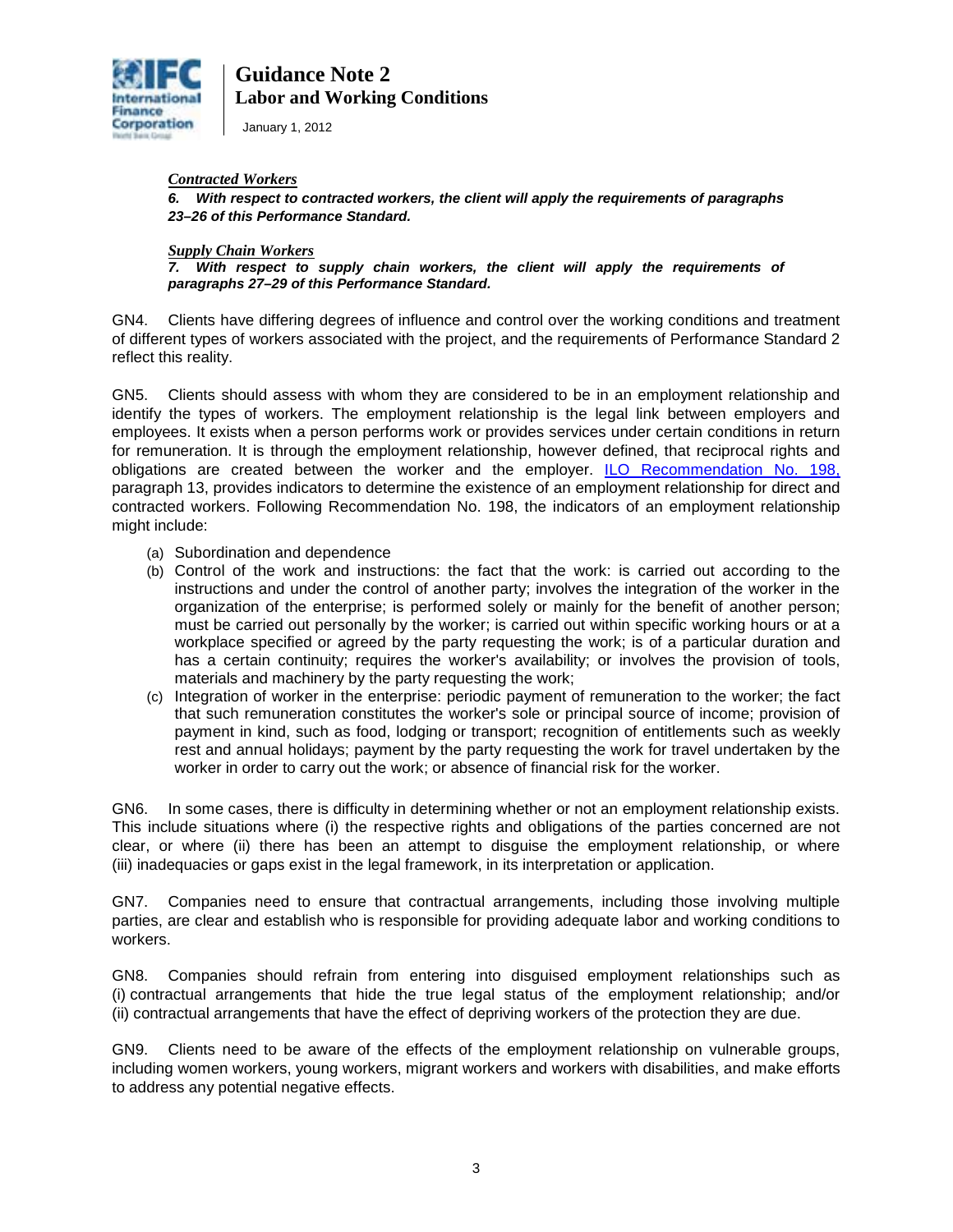

January 1, 2012

#### *Contracted Workers*

*6. With respect to contracted workers, the client will apply the requirements of paragraphs 23–26 of this Performance Standard.* 

#### *Supply Chain Workers*

*7. With respect to supply chain workers, the client will apply the requirements of paragraphs 27–29 of this Performance Standard.* 

GN4. Clients have differing degrees of influence and control over the working conditions and treatment of different types of workers associated with the project, and the requirements of Performance Standard 2 reflect this reality.

GN5. Clients should assess with whom they are considered to be in an employment relationship and identify the types of workers. The employment relationship is the legal link between employers and employees. It exists when a person performs work or provides services under certain conditions in return for remuneration. It is through the employment relationship, however defined, that reciprocal rights and obligations are created between the worker and the employer. [ILO Recommendation No. 198,](http://www.ilo.org/public/english/dialogue/ifpdial/downloads/guide-rec198.pdf) paragraph 13, provides indicators to determine the existence of an employment relationship for direct and contracted workers. Following Recommendation No. 198, the indicators of an employment relationship might include:

- (a) Subordination and dependence
- (b) Control of the work and instructions: the fact that the work: is carried out according to the instructions and under the control of another party; involves the integration of the worker in the organization of the enterprise; is performed solely or mainly for the benefit of another person; must be carried out personally by the worker; is carried out within specific working hours or at a workplace specified or agreed by the party requesting the work; is of a particular duration and has a certain continuity; requires the worker's availability; or involves the provision of tools, materials and machinery by the party requesting the work;
- (c) Integration of worker in the enterprise: periodic payment of remuneration to the worker; the fact that such remuneration constitutes the worker's sole or principal source of income; provision of payment in kind, such as food, lodging or transport; recognition of entitlements such as weekly rest and annual holidays; payment by the party requesting the work for travel undertaken by the worker in order to carry out the work; or absence of financial risk for the worker.

GN6. In some cases, there is difficulty in determining whether or not an employment relationship exists. This include situations where (i) the respective rights and obligations of the parties concerned are not clear, or where (ii) there has been an attempt to disguise the employment relationship, or where (iii) inadequacies or gaps exist in the legal framework, in its interpretation or application.

GN7. Companies need to ensure that contractual arrangements, including those involving multiple parties, are clear and establish who is responsible for providing adequate labor and working conditions to workers.

GN8. Companies should refrain from entering into disguised employment relationships such as (i) contractual arrangements that hide the true legal status of the employment relationship; and/or (ii) contractual arrangements that have the effect of depriving workers of the protection they are due.

GN9. Clients need to be aware of the effects of the employment relationship on vulnerable groups, including women workers, young workers, migrant workers and workers with disabilities, and make efforts to address any potential negative effects.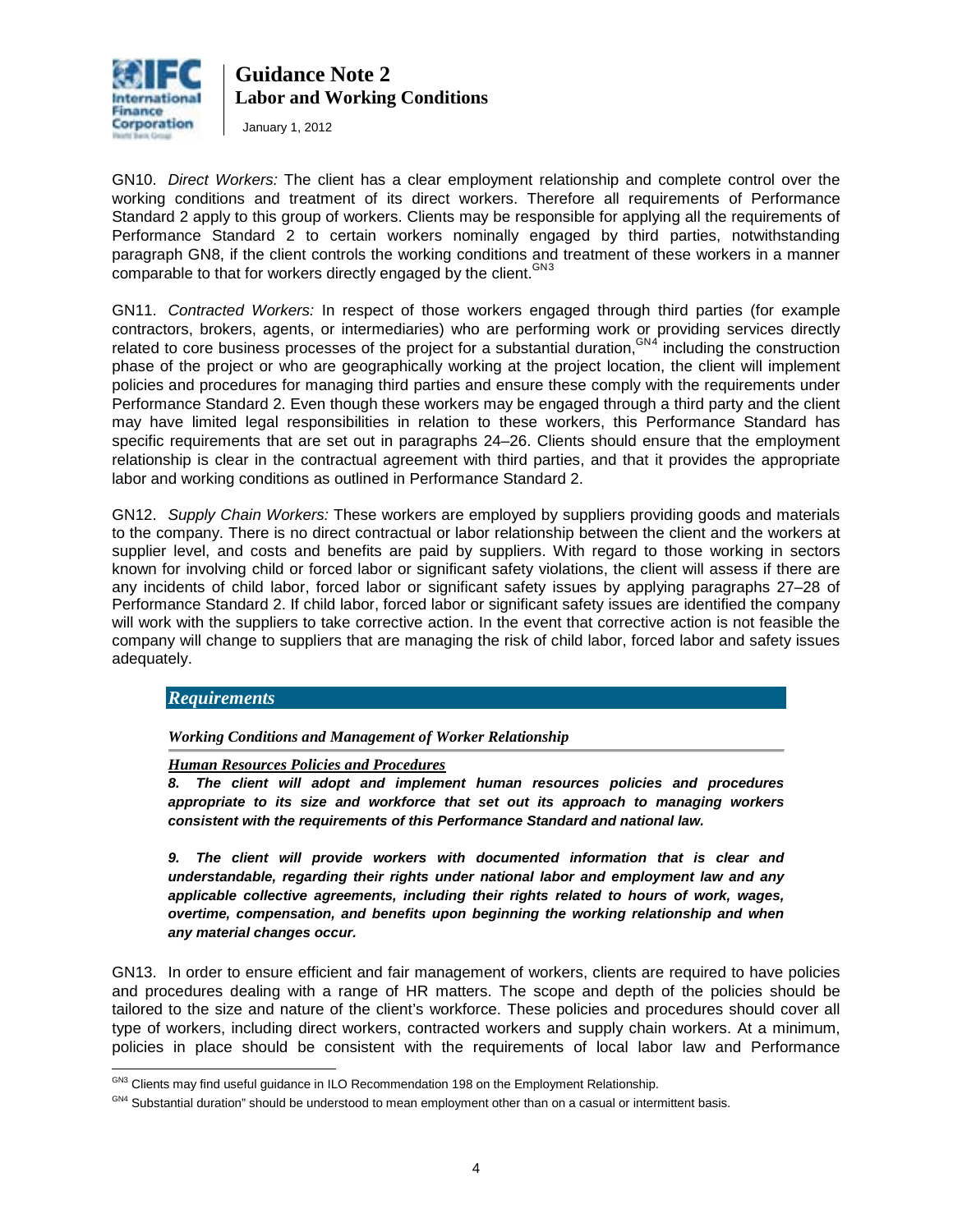

January 1, 2012

GN10. *Direct Workers:* The client has a clear employment relationship and complete control over the working conditions and treatment of its direct workers. Therefore all requirements of Performance Standard 2 apply to this group of workers. Clients may be responsible for applying all the requirements of Performance Standard 2 to certain workers nominally engaged by third parties, notwithstanding paragraph GN8, if the client controls the working conditions and treatment of these workers in a manner comparable to that for workers directly engaged by the client.<sup>GN[3](#page-1-1)</sup>

GN11. *Contracted Workers:* In respect of those workers engaged through third parties (for example contractors, brokers, agents, or intermediaries) who are performing work or providing services directly related to core business processes of the project for a substantial duration, <sup>GN[4](#page-3-0)</sup> including the construction phase of the project or who are geographically working at the project location, the client will implement policies and procedures for managing third parties and ensure these comply with the requirements under Performance Standard 2. Even though these workers may be engaged through a third party and the client may have limited legal responsibilities in relation to these workers, this Performance Standard has specific requirements that are set out in paragraphs 24–26. Clients should ensure that the employment relationship is clear in the contractual agreement with third parties, and that it provides the appropriate labor and working conditions as outlined in Performance Standard 2.

GN12. *Supply Chain Workers:* These workers are employed by suppliers providing goods and materials to the company. There is no direct contractual or labor relationship between the client and the workers at supplier level, and costs and benefits are paid by suppliers. With regard to those working in sectors known for involving child or forced labor or significant safety violations, the client will assess if there are any incidents of child labor, forced labor or significant safety issues by applying paragraphs 27–28 of Performance Standard 2. If child labor, forced labor or significant safety issues are identified the company will work with the suppliers to take corrective action. In the event that corrective action is not feasible the company will change to suppliers that are managing the risk of child labor, forced labor and safety issues adequately.

## *Requirements*

*Working Conditions and Management of Worker Relationship*

*Human Resources Policies and Procedures*

*8. The client will adopt and implement human resources policies and procedures appropriate to its size and workforce that set out its approach to managing workers consistent with the requirements of this Performance Standard and national law.* 

*9. The client will provide workers with documented information that is clear and understandable, regarding their rights under national labor and employment law and any applicable collective agreements, including their rights related to hours of work, wages, overtime, compensation, and benefits upon beginning the working relationship and when any material changes occur.* 

GN13. In order to ensure efficient and fair management of workers, clients are required to have policies and procedures dealing with a range of HR matters. The scope and depth of the policies should be tailored to the size and nature of the client's workforce. These policies and procedures should cover all type of workers, including direct workers, contracted workers and supply chain workers. At a minimum, policies in place should be consistent with the requirements of local labor law and Performance

<span id="page-3-1"></span> $\overline{a}$ <sup>GN3</sup> Clients may find useful guidance in ILO Recommendation 198 on the Employment Relationship.

<span id="page-3-0"></span>GN4 Substantial duration" should be understood to mean employment other than on a casual or intermittent basis.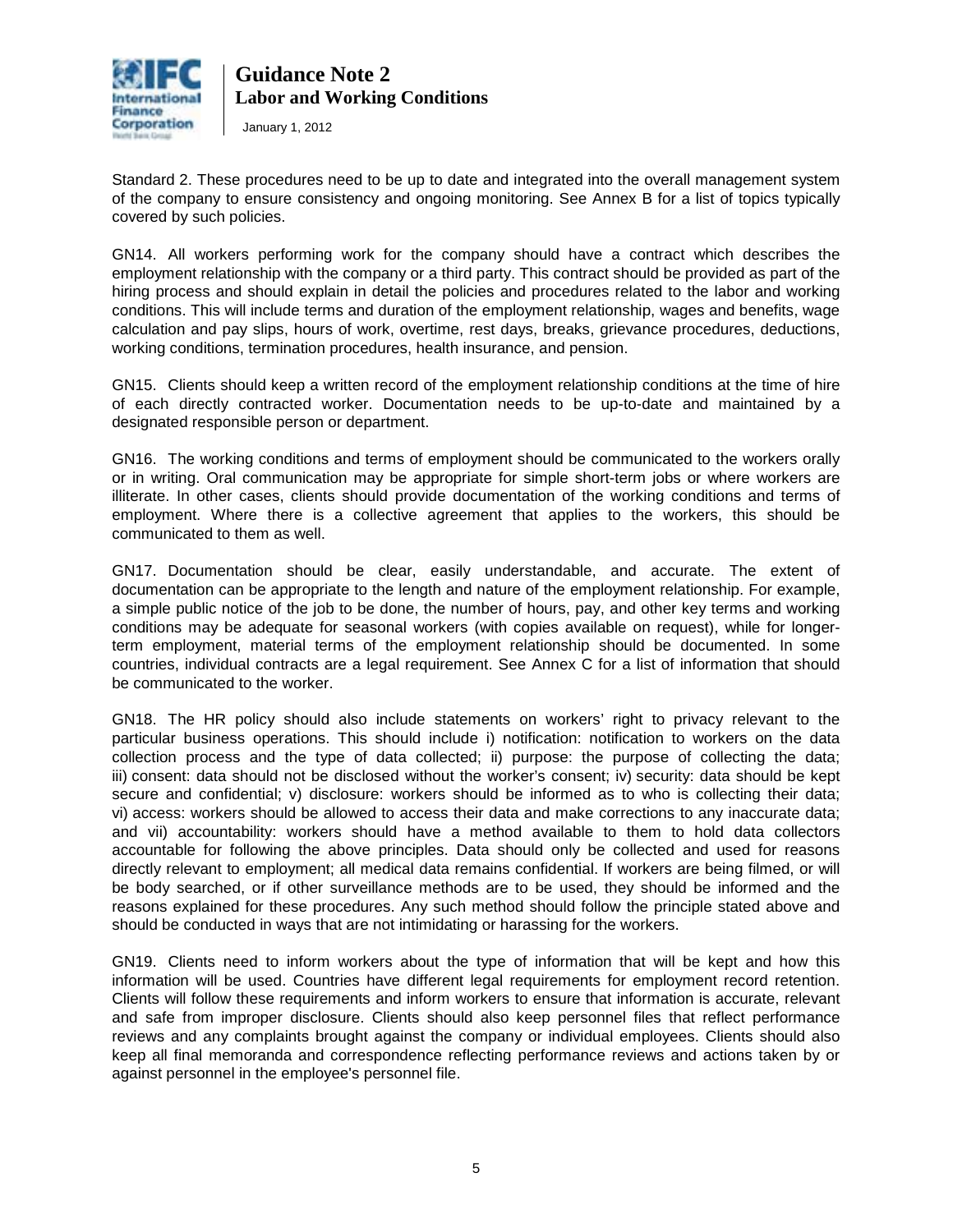

January 1, 2012

Standard 2. These procedures need to be up to date and integrated into the overall management system of the company to ensure consistency and ongoing monitoring. See Annex B for a list of topics typically covered by such policies.

GN14. All workers performing work for the company should have a contract which describes the employment relationship with the company or a third party. This contract should be provided as part of the hiring process and should explain in detail the policies and procedures related to the labor and working conditions. This will include terms and duration of the employment relationship, wages and benefits, wage calculation and pay slips, hours of work, overtime, rest days, breaks, grievance procedures, deductions, working conditions, termination procedures, health insurance, and pension.

GN15. Clients should keep a written record of the employment relationship conditions at the time of hire of each directly contracted worker. Documentation needs to be up-to-date and maintained by a designated responsible person or department.

GN16. The working conditions and terms of employment should be communicated to the workers orally or in writing. Oral communication may be appropriate for simple short-term jobs or where workers are illiterate. In other cases, clients should provide documentation of the working conditions and terms of employment. Where there is a collective agreement that applies to the workers, this should be communicated to them as well.

GN17. Documentation should be clear, easily understandable, and accurate. The extent of documentation can be appropriate to the length and nature of the employment relationship. For example, a simple public notice of the job to be done, the number of hours, pay, and other key terms and working conditions may be adequate for seasonal workers (with copies available on request), while for longerterm employment, material terms of the employment relationship should be documented. In some countries, individual contracts are a legal requirement. See Annex C for a list of information that should be communicated to the worker.

GN18. The HR policy should also include statements on workers' right to privacy relevant to the particular business operations. This should include i) notification: notification to workers on the data collection process and the type of data collected; ii) purpose: the purpose of collecting the data; iii) consent: data should not be disclosed without the worker's consent; iv) security: data should be kept secure and confidential; v) disclosure: workers should be informed as to who is collecting their data; vi) access: workers should be allowed to access their data and make corrections to any inaccurate data; and vii) accountability: workers should have a method available to them to hold data collectors accountable for following the above principles. Data should only be collected and used for reasons directly relevant to employment; all medical data remains confidential. If workers are being filmed, or will be body searched, or if other surveillance methods are to be used, they should be informed and the reasons explained for these procedures. Any such method should follow the principle stated above and should be conducted in ways that are not intimidating or harassing for the workers.

GN19. Clients need to inform workers about the type of information that will be kept and how this information will be used. Countries have different legal requirements for employment record retention. Clients will follow these requirements and inform workers to ensure that information is accurate, relevant and safe from improper disclosure. Clients should also keep personnel files that reflect performance reviews and any complaints brought against the company or individual employees. Clients should also keep all final memoranda and correspondence reflecting performance reviews and actions taken by or against personnel in the employee's personnel file.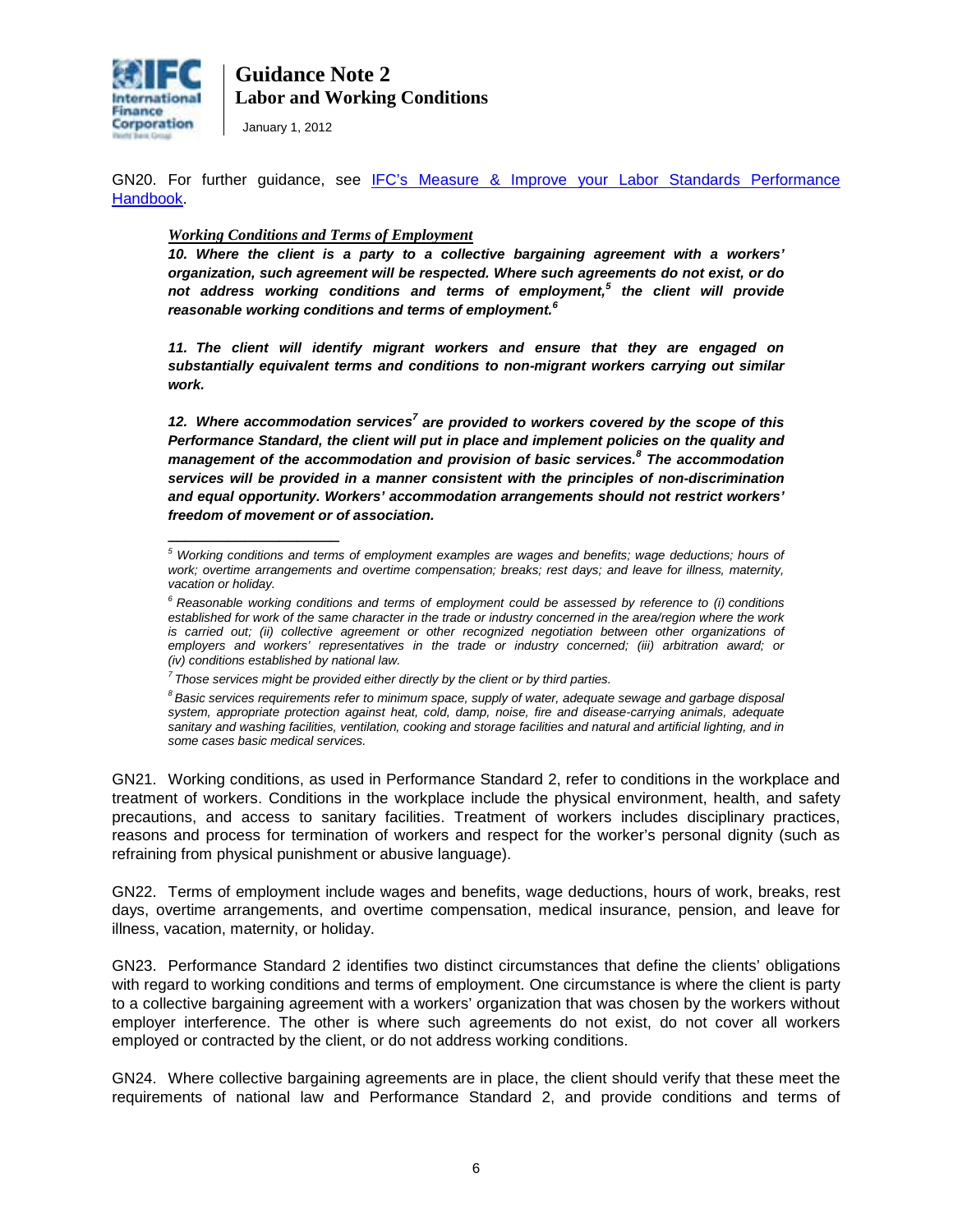

January 1, 2012

**\_\_\_\_\_\_\_\_\_\_\_\_\_\_\_\_\_\_\_\_** 

GN20. For further guidance, see [IFC's Measure & Improve your Labor Standards Performance](http://www1.ifc.org/wps/wcm/connect/Topics_ext_content/ifc_external_corporate_site/IFC%20Sustainability/Publications/Publications_Handbook_LaborStandardsPerformance__WCI__1319577153058?id=0b26798048d2ea1eb8c1bd4b02f32852&WCM_Page.ResetAll=TRUE&CACHE=NONE&C)  [Handbook.](http://www1.ifc.org/wps/wcm/connect/Topics_ext_content/ifc_external_corporate_site/IFC%20Sustainability/Publications/Publications_Handbook_LaborStandardsPerformance__WCI__1319577153058?id=0b26798048d2ea1eb8c1bd4b02f32852&WCM_Page.ResetAll=TRUE&CACHE=NONE&C)

#### *Working Conditions and Terms of Employment*

*10. Where the client is a party to a collective bargaining agreement with a workers' organization, such agreement will be respected. Where such agreements do not exist, or do not address working conditions and terms of employment,<sup>5</sup> the client will provide*  reasonable working conditions and terms of employment.<sup>6</sup>

*11. The client will identify migrant workers and ensure that they are engaged on substantially equivalent terms and conditions to non-migrant workers carrying out similar work.* 

*12. Where accommodation services<sup>7</sup> are provided to workers covered by the scope of this Performance Standard, the client will put in place and implement policies on the quality and management of the accommodation and provision of basic services.<sup>8</sup> The accommodation services will be provided in a manner consistent with the principles of non-discrimination and equal opportunity. Workers' accommodation arrangements should not restrict workers' freedom of movement or of association.*

GN21. Working conditions, as used in Performance Standard 2, refer to conditions in the workplace and treatment of workers. Conditions in the workplace include the physical environment, health, and safety precautions, and access to sanitary facilities. Treatment of workers includes disciplinary practices, reasons and process for termination of workers and respect for the worker's personal dignity (such as refraining from physical punishment or abusive language).

GN22. Terms of employment include wages and benefits, wage deductions, hours of work, breaks, rest days, overtime arrangements, and overtime compensation, medical insurance, pension, and leave for illness, vacation, maternity, or holiday.

GN23. Performance Standard 2 identifies two distinct circumstances that define the clients' obligations with regard to working conditions and terms of employment. One circumstance is where the client is party to a collective bargaining agreement with a workers' organization that was chosen by the workers without employer interference. The other is where such agreements do not exist, do not cover all workers employed or contracted by the client, or do not address working conditions.

GN24. Where collective bargaining agreements are in place, the client should verify that these meet the requirements of national law and Performance Standard 2, and provide conditions and terms of

*<sup>5</sup> Working conditions and terms of employment examples are wages and benefits; wage deductions; hours of work; overtime arrangements and overtime compensation; breaks; rest days; and leave for illness, maternity, vacation or holiday.*

*<sup>6</sup> Reasonable working conditions and terms of employment could be assessed by reference to (i) conditions*  established for work of the same character in the trade or industry concerned in the area/region where the work is carried out; (ii) collective agreement or other recognized negotiation between other organizations of *employers and workers' representatives in the trade or industry concerned; (iii) arbitration award; or (iv) conditions established by national law.* 

*<sup>7</sup> Those services might be provided either directly by the client or by third parties.*

*<sup>8</sup> Basic services requirements refer to minimum space, supply of water, adequate sewage and garbage disposal system, appropriate protection against heat, cold, damp, noise, fire and disease-carrying animals, adequate sanitary and washing facilities, ventilation, cooking and storage facilities and natural and artificial lighting, and in some cases basic medical services.*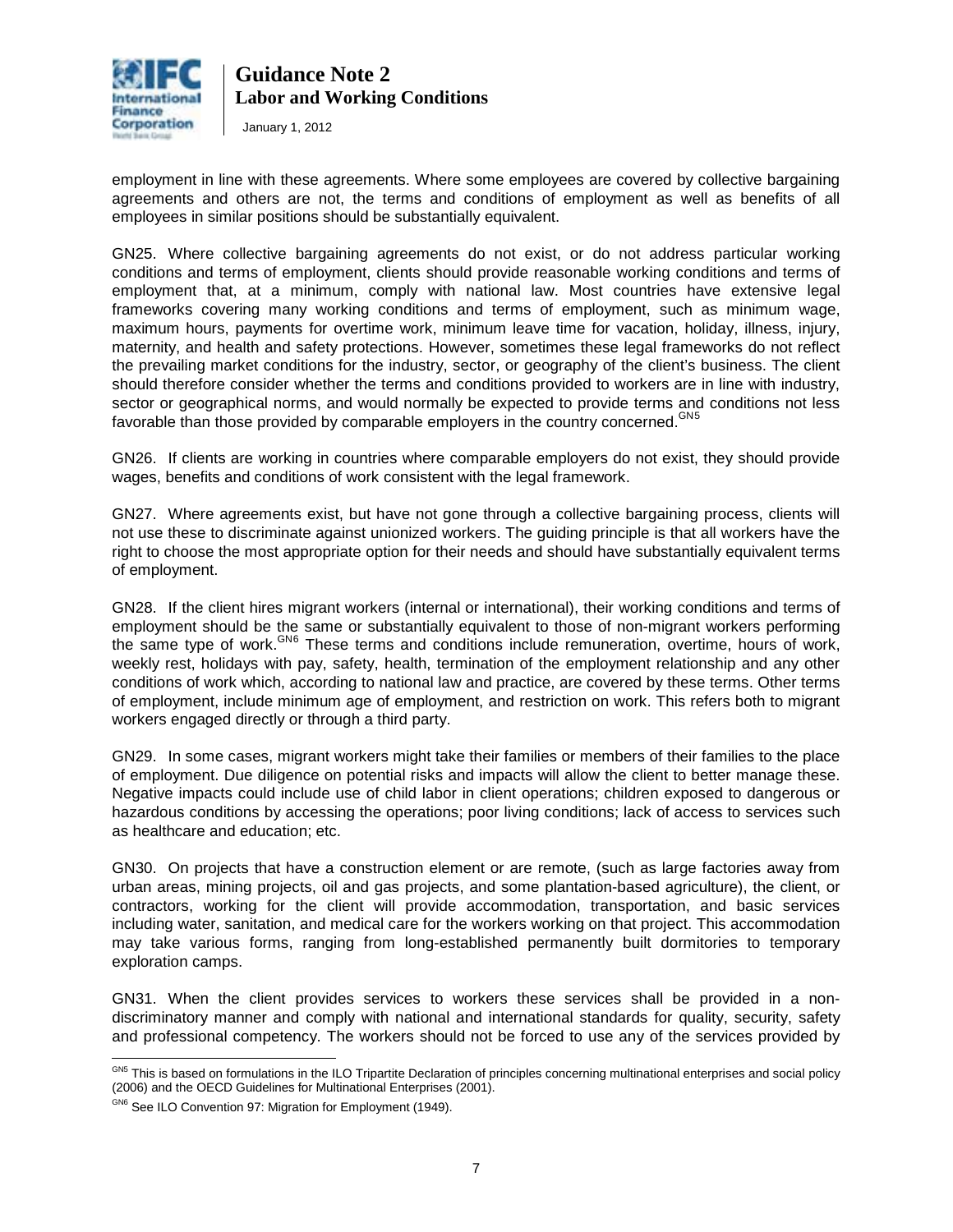

January 1, 2012

employment in line with these agreements. Where some employees are covered by collective bargaining agreements and others are not, the terms and conditions of employment as well as benefits of all employees in similar positions should be substantially equivalent.

GN25. Where collective bargaining agreements do not exist, or do not address particular working conditions and terms of employment, clients should provide reasonable working conditions and terms of employment that, at a minimum, comply with national law. Most countries have extensive legal frameworks covering many working conditions and terms of employment, such as minimum wage, maximum hours, payments for overtime work, minimum leave time for vacation, holiday, illness, injury, maternity, and health and safety protections. However, sometimes these legal frameworks do not reflect the prevailing market conditions for the industry, sector, or geography of the client's business. The client should therefore consider whether the terms and conditions provided to workers are in line with industry, sector or geographical norms, and would normally be expected to provide terms and conditions not less favorable than those provided by comparable employers in the country concerned.<sup>GN[5](#page-3-1)</sup>

GN26. If clients are working in countries where comparable employers do not exist, they should provide wages, benefits and conditions of work consistent with the legal framework.

GN27. Where agreements exist, but have not gone through a collective bargaining process, clients will not use these to discriminate against unionized workers. The guiding principle is that all workers have the right to choose the most appropriate option for their needs and should have substantially equivalent terms of employment.

GN28. If the client hires migrant workers (internal or international), their working conditions and terms of employment should be the same or substantially equivalent to those of non-migrant workers performing the same type of work.<sup>GN[6](#page-6-0)</sup> These terms and conditions include remuneration, overtime, hours of work, weekly rest, holidays with pay, safety, health, termination of the employment relationship and any other conditions of work which, according to national law and practice, are covered by these terms. Other terms of employment, include minimum age of employment, and restriction on work. This refers both to migrant workers engaged directly or through a third party.

GN29. In some cases, migrant workers might take their families or members of their families to the place of employment. Due diligence on potential risks and impacts will allow the client to better manage these. Negative impacts could include use of child labor in client operations; children exposed to dangerous or hazardous conditions by accessing the operations; poor living conditions; lack of access to services such as healthcare and education; etc.

GN30. On projects that have a construction element or are remote, (such as large factories away from urban areas, mining projects, oil and gas projects, and some plantation-based agriculture), the client, or contractors, working for the client will provide accommodation, transportation, and basic services including water, sanitation, and medical care for the workers working on that project. This accommodation may take various forms, ranging from long-established permanently built dormitories to temporary exploration camps.

<span id="page-6-1"></span>GN31. When the client provides services to workers these services shall be provided in a nondiscriminatory manner and comply with national and international standards for quality, security, safety and professional competency. The workers should not be forced to use any of the services provided by

 $\overline{a}$ <sup>GN5</sup> This is based on formulations in the ILO Tripartite Declaration of principles concerning multinational enterprises and social policy (2006) and the OECD Guidelines for Multinational Enterprises (2001).

<span id="page-6-0"></span>GN6 See ILO Convention 97: Migration for Employment (1949).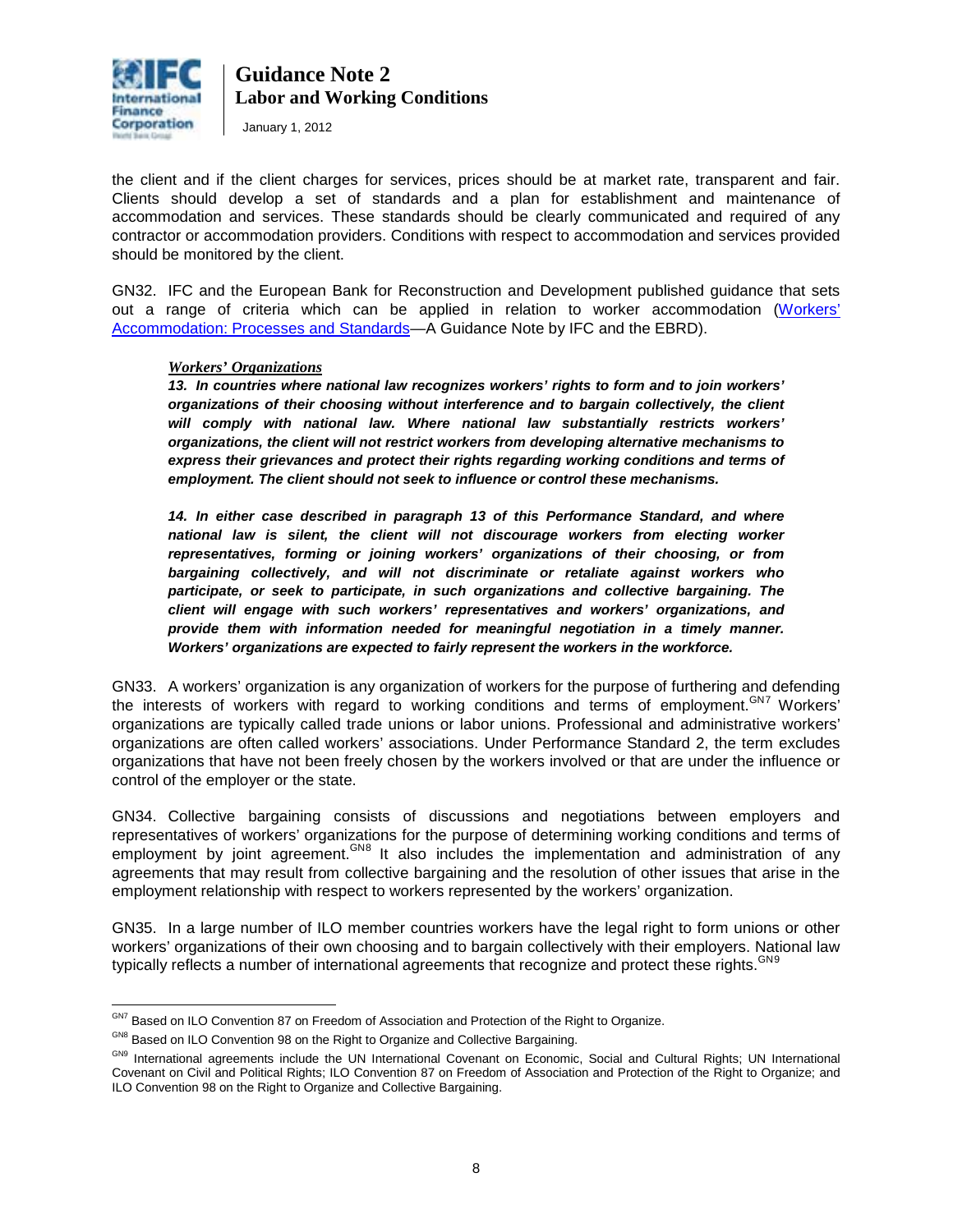

January 1, 2012

the client and if the client charges for services, prices should be at market rate, transparent and fair. Clients should develop a set of standards and a plan for establishment and maintenance of accommodation and services. These standards should be clearly communicated and required of any contractor or accommodation providers. Conditions with respect to accommodation and services provided should be monitored by the client.

GN32. IFC and the European Bank for Reconstruction and Development published guidance that sets out a range of criteria which can be applied in relation to worker accommodation [\(Workers'](http://www1.ifc.org/wps/wcm/connect/topics_ext_content/ifc_external_corporate_site/ifc+sustainability/publications/publications_gpn_workersaccommodation)  [Accommodation: Processes and Standards—](http://www1.ifc.org/wps/wcm/connect/topics_ext_content/ifc_external_corporate_site/ifc+sustainability/publications/publications_gpn_workersaccommodation)A Guidance Note by IFC and the EBRD).

#### *Workers' Organizations*

*13. In countries where national law recognizes workers' rights to form and to join workers' organizations of their choosing without interference and to bargain collectively, the client will comply with national law. Where national law substantially restricts workers' organizations, the client will not restrict workers from developing alternative mechanisms to*  express their grievances and protect their rights regarding working conditions and terms of *employment. The client should not seek to influence or control these mechanisms.* 

*14. In either case described in paragraph 13 of this Performance Standard, and where national law is silent, the client will not discourage workers from electing worker representatives, forming or joining workers' organizations of their choosing, or from bargaining collectively, and will not discriminate or retaliate against workers who participate, or seek to participate, in such organizations and collective bargaining. The client will engage with such workers' representatives and workers' organizations, and provide them with information needed for meaningful negotiation in a timely manner. Workers' organizations are expected to fairly represent the workers in the workforce.* 

GN33. A workers' organization is any organization of workers for the purpose of furthering and defending the interests of workers with regard to working conditions and terms of employment.<sup>GN[7](#page-6-1)</sup> Workers' organizations are typically called trade unions or labor unions. Professional and administrative workers' organizations are often called workers' associations. Under Performance Standard 2, the term excludes organizations that have not been freely chosen by the workers involved or that are under the influence or control of the employer or the state.

GN34. Collective bargaining consists of discussions and negotiations between employers and representatives of workers' organizations for the purpose of determining working conditions and terms of employment by joint agreement.<sup>GN[8](#page-7-0)</sup> It also includes the implementation and administration of any agreements that may result from collective bargaining and the resolution of other issues that arise in the employment relationship with respect to workers represented by the workers' organization.

GN35. In a large number of ILO member countries workers have the legal right to form unions or other workers' organizations of their own choosing and to bargain collectively with their employers. National law typically reflects a number of international agreements that recognize and protect these rights. CN[9](#page-7-1)

<span id="page-7-2"></span> $\overline{a}$ <sup>GN7</sup> Based on ILO Convention 87 on Freedom of Association and Protection of the Right to Organize.

<span id="page-7-0"></span>GN8 Based on ILO Convention 98 on the Right to Organize and Collective Bargaining.

<span id="page-7-1"></span>GN9 International agreements include the UN International Covenant on Economic, Social and Cultural Rights; UN International Covenant on Civil and Political Rights; ILO Convention 87 on Freedom of Association and Protection of the Right to Organize; and ILO Convention 98 on the Right to Organize and Collective Bargaining.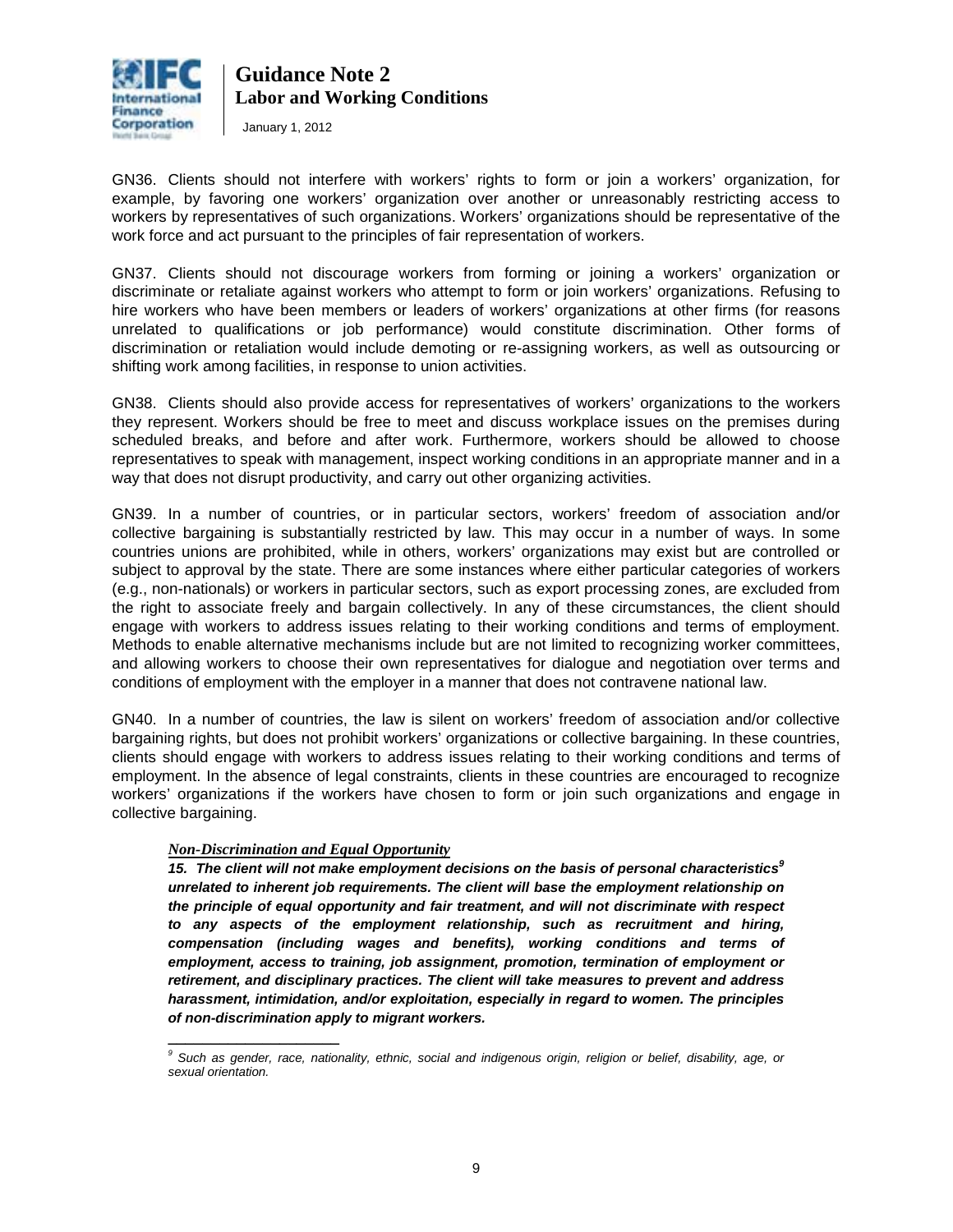

January 1, 2012

GN36. Clients should not interfere with workers' rights to form or join a workers' organization, for example, by favoring one workers' organization over another or unreasonably restricting access to workers by representatives of such organizations. Workers' organizations should be representative of the work force and act pursuant to the principles of fair representation of workers.

GN37. Clients should not discourage workers from forming or joining a workers' organization or discriminate or retaliate against workers who attempt to form or join workers' organizations. Refusing to hire workers who have been members or leaders of workers' organizations at other firms (for reasons unrelated to qualifications or job performance) would constitute discrimination. Other forms of discrimination or retaliation would include demoting or re-assigning workers, as well as outsourcing or shifting work among facilities, in response to union activities.

GN38. Clients should also provide access for representatives of workers' organizations to the workers they represent. Workers should be free to meet and discuss workplace issues on the premises during scheduled breaks, and before and after work. Furthermore, workers should be allowed to choose representatives to speak with management, inspect working conditions in an appropriate manner and in a way that does not disrupt productivity, and carry out other organizing activities.

GN39. In a number of countries, or in particular sectors, workers' freedom of association and/or collective bargaining is substantially restricted by law. This may occur in a number of ways. In some countries unions are prohibited, while in others, workers' organizations may exist but are controlled or subject to approval by the state. There are some instances where either particular categories of workers (e.g., non-nationals) or workers in particular sectors, such as export processing zones, are excluded from the right to associate freely and bargain collectively. In any of these circumstances, the client should engage with workers to address issues relating to their working conditions and terms of employment. Methods to enable alternative mechanisms include but are not limited to recognizing worker committees, and allowing workers to choose their own representatives for dialogue and negotiation over terms and conditions of employment with the employer in a manner that does not contravene national law.

GN40. In a number of countries, the law is silent on workers' freedom of association and/or collective bargaining rights, but does not prohibit workers' organizations or collective bargaining. In these countries, clients should engage with workers to address issues relating to their working conditions and terms of employment. In the absence of legal constraints, clients in these countries are encouraged to recognize workers' organizations if the workers have chosen to form or join such organizations and engage in collective bargaining.

## *Non-Discrimination and Equal Opportunity*

**\_\_\_\_\_\_\_\_\_\_\_\_\_\_\_\_\_\_\_\_** 

*15. The client will not make employment decisions on the basis of personal characteristics<sup>9</sup> unrelated to inherent job requirements. The client will base the employment relationship on the principle of equal opportunity and fair treatment, and will not discriminate with respect to any aspects of the employment relationship, such as recruitment and hiring, compensation (including wages and benefits), working conditions and terms of employment, access to training, job assignment, promotion, termination of employment or retirement, and disciplinary practices. The client will take measures to prevent and address harassment, intimidation, and/or exploitation, especially in regard to women. The principles of non-discrimination apply to migrant workers.* 

*<sup>9</sup> Such as gender, race, nationality, ethnic, social and indigenous origin, religion or belief, disability, age, or sexual orientation.*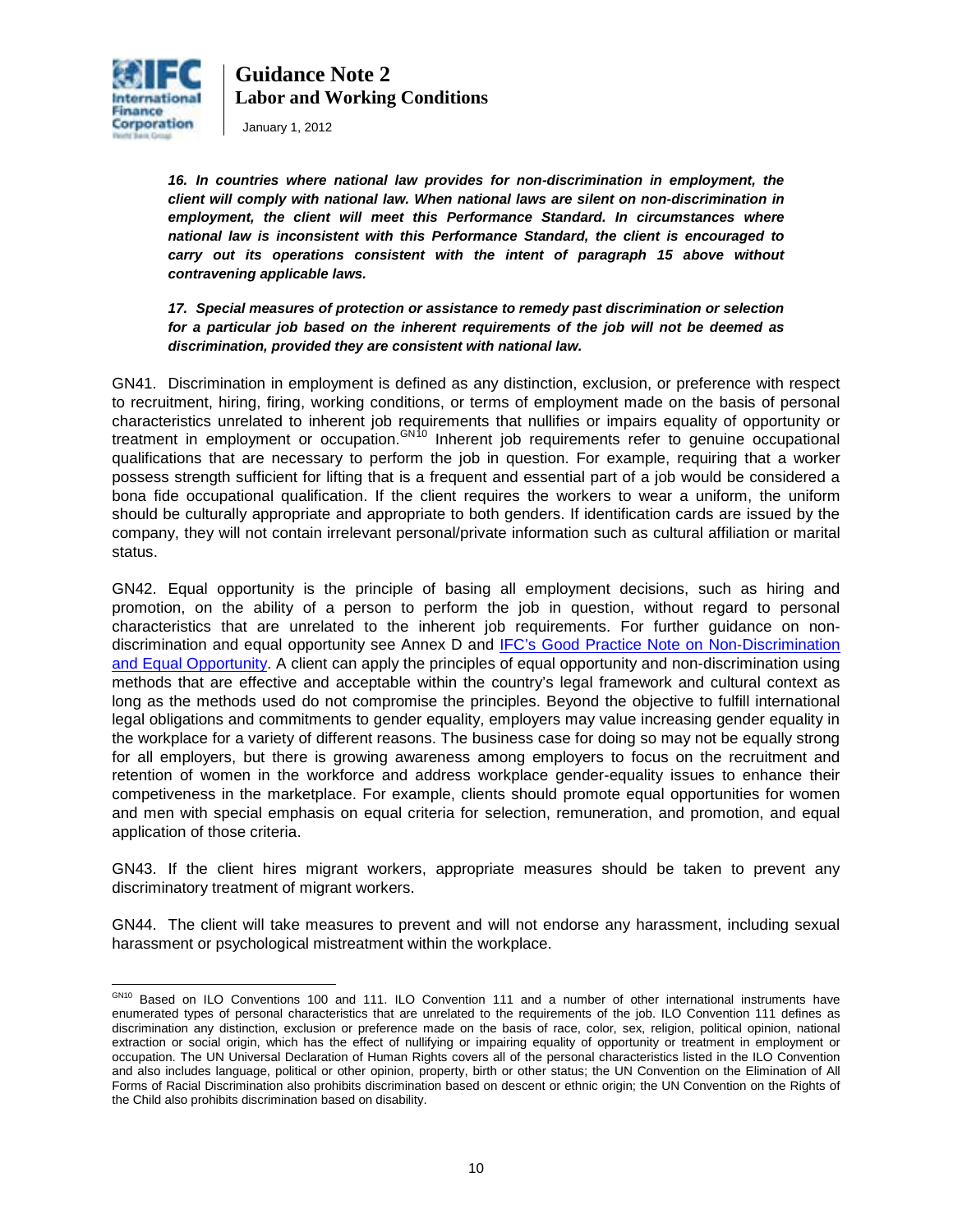

January 1, 2012

*16. In countries where national law provides for non-discrimination in employment, the client will comply with national law. When national laws are silent on non-discrimination in employment, the client will meet this Performance Standard. In circumstances where national law is inconsistent with this Performance Standard, the client is encouraged to carry out its operations consistent with the intent of paragraph 15 above without contravening applicable laws.* 

*17. Special measures of protection or assistance to remedy past discrimination or selection for a particular job based on the inherent requirements of the job will not be deemed as discrimination, provided they are consistent with national law.* 

GN41. Discrimination in employment is defined as any distinction, exclusion, or preference with respect to recruitment, hiring, firing, working conditions, or terms of employment made on the basis of personal characteristics unrelated to inherent job requirements that nullifies or impairs equality of opportunity or treatment in employment or occupation.<sup>GN[10](#page-7-2)</sup> Inherent job requirements refer to genuine occupational qualifications that are necessary to perform the job in question. For example, requiring that a worker possess strength sufficient for lifting that is a frequent and essential part of a job would be considered a bona fide occupational qualification. If the client requires the workers to wear a uniform, the uniform should be culturally appropriate and appropriate to both genders. If identification cards are issued by the company, they will not contain irrelevant personal/private information such as cultural affiliation or marital status.

GN42. Equal opportunity is the principle of basing all employment decisions, such as hiring and promotion, on the ability of a person to perform the job in question, without regard to personal characteristics that are unrelated to the inherent job requirements. For further guidance on nondiscrimination and equal opportunity see Annex D and IFC's [Good Practice Note on Non-Discrimination](http://www1.ifc.org/wps/wcm/connect/topics_ext_content/ifc_external_corporate_site/ifc+sustainability/publications/publications_gpn_nondiscrimination)  [and Equal Opportunity.](http://www1.ifc.org/wps/wcm/connect/topics_ext_content/ifc_external_corporate_site/ifc+sustainability/publications/publications_gpn_nondiscrimination) A client can apply the principles of equal opportunity and non-discrimination using methods that are effective and acceptable within the country's legal framework and cultural context as long as the methods used do not compromise the principles. Beyond the objective to fulfill international legal obligations and commitments to gender equality, employers may value increasing gender equality in the workplace for a variety of different reasons. The business case for doing so may not be equally strong for all employers, but there is growing awareness among employers to focus on the recruitment and retention of women in the workforce and address workplace gender-equality issues to enhance their competiveness in the marketplace. For example, clients should promote equal opportunities for women and men with special emphasis on equal criteria for selection, remuneration, and promotion, and equal application of those criteria.

GN43. If the client hires migrant workers, appropriate measures should be taken to prevent any discriminatory treatment of migrant workers.

GN44. The client will take measures to prevent and will not endorse any harassment, including sexual harassment or psychological mistreatment within the workplace.

<span id="page-9-0"></span> $\overline{a}$ GN10 Based on ILO Conventions 100 and 111. ILO Convention 111 and a number of other international instruments have enumerated types of personal characteristics that are unrelated to the requirements of the job. ILO Convention 111 defines as discrimination any distinction, exclusion or preference made on the basis of race, color, sex, religion, political opinion, national extraction or social origin, which has the effect of nullifying or impairing equality of opportunity or treatment in employment or occupation. The UN Universal Declaration of Human Rights covers all of the personal characteristics listed in the ILO Convention and also includes language, political or other opinion, property, birth or other status; the UN Convention on the Elimination of All Forms of Racial Discrimination also prohibits discrimination based on descent or ethnic origin; the UN Convention on the Rights of the Child also prohibits discrimination based on disability.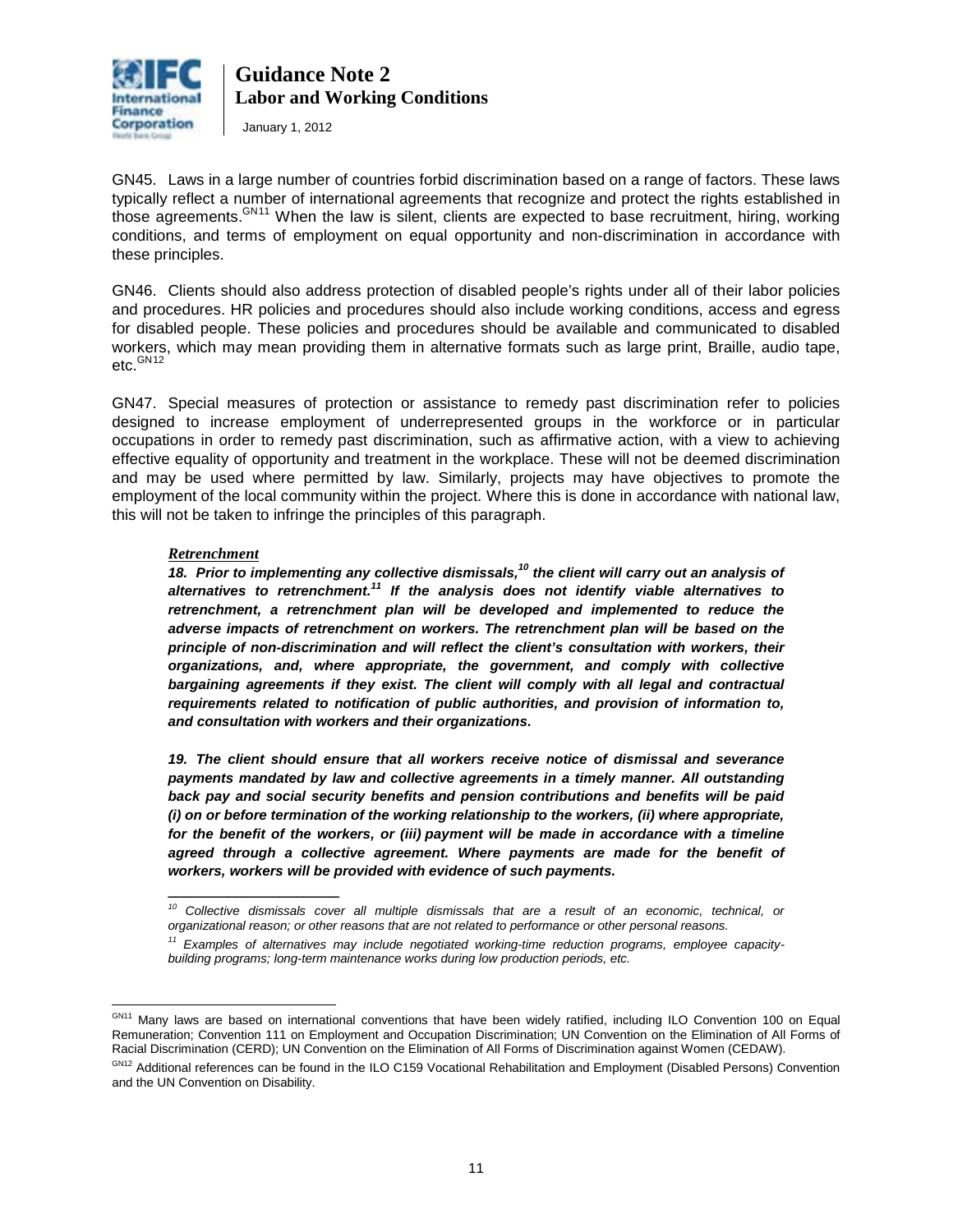

January 1, 2012

GN45. Laws in a large number of countries forbid discrimination based on a range of factors. These laws typically reflect a number of international agreements that recognize and protect the rights established in those agreements.<sup>GN[11](#page-9-0)</sup> When the law is silent, clients are expected to base recruitment, hiring, working conditions, and terms of employment on equal opportunity and non-discrimination in accordance with these principles.

GN46. Clients should also address protection of disabled people's rights under all of their labor policies and procedures. HR policies and procedures should also include working conditions, access and egress for disabled people. These policies and procedures should be available and communicated to disabled workers, which may mean providing them in alternative formats such as large print, Braille, audio tape, etc. GN[12](#page-10-0) 

GN47. Special measures of protection or assistance to remedy past discrimination refer to policies designed to increase employment of underrepresented groups in the workforce or in particular occupations in order to remedy past discrimination, such as affirmative action, with a view to achieving effective equality of opportunity and treatment in the workplace. These will not be deemed discrimination and may be used where permitted by law. Similarly, projects may have objectives to promote the employment of the local community within the project. Where this is done in accordance with national law, this will not be taken to infringe the principles of this paragraph.

#### *Retrenchment*

**\_\_\_\_\_\_\_\_\_\_\_\_\_\_\_\_\_\_\_\_** 

*18. Prior to implementing any collective dismissals,<sup>10</sup> the client will carry out an analysis of alternatives to retrenchment.<sup>11</sup> If the analysis does not identify viable alternatives to retrenchment, a retrenchment plan will be developed and implemented to reduce the adverse impacts of retrenchment on workers. The retrenchment plan will be based on the principle of non-discrimination and will reflect the client's consultation with workers, their organizations, and, where appropriate, the government, and comply with collective*  bargaining agreements if they exist. The client will comply with all legal and contractual *requirements related to notification of public authorities, and provision of information to, and consultation with workers and their organizations.* 

*19. The client should ensure that all workers receive notice of dismissal and severance payments mandated by law and collective agreements in a timely manner. All outstanding back pay and social security benefits and pension contributions and benefits will be paid (i) on or before termination of the working relationship to the workers, (ii) where appropriate, for the benefit of the workers, or (iii) payment will be made in accordance with a timeline* agreed through a collective agreement. Where payments are made for the benefit of *workers, workers will be provided with evidence of such payments.*

*<sup>10</sup> Collective dismissals cover all multiple dismissals that are a result of an economic, technical, or organizational reason; or other reasons that are not related to performance or other personal reasons.* 

*<sup>11</sup> Examples of alternatives may include negotiated working-time reduction programs, employee capacitybuilding programs; long-term maintenance works during low production periods, etc.*

GN<sub>11</sub> Many laws are based on international conventions that have been widely ratified, including ILO Convention 100 on Equal Remuneration; Convention 111 on Employment and Occupation Discrimination; UN Convention on the Elimination of All Forms of Racial Discrimination (CERD); UN Convention on the Elimination of All Forms of Discrimination against Women (CEDAW).

<span id="page-10-1"></span><span id="page-10-0"></span>GN12 Additional references can be found in the ILO C159 Vocational Rehabilitation and Employment (Disabled Persons) Convention and the UN Convention on Disability.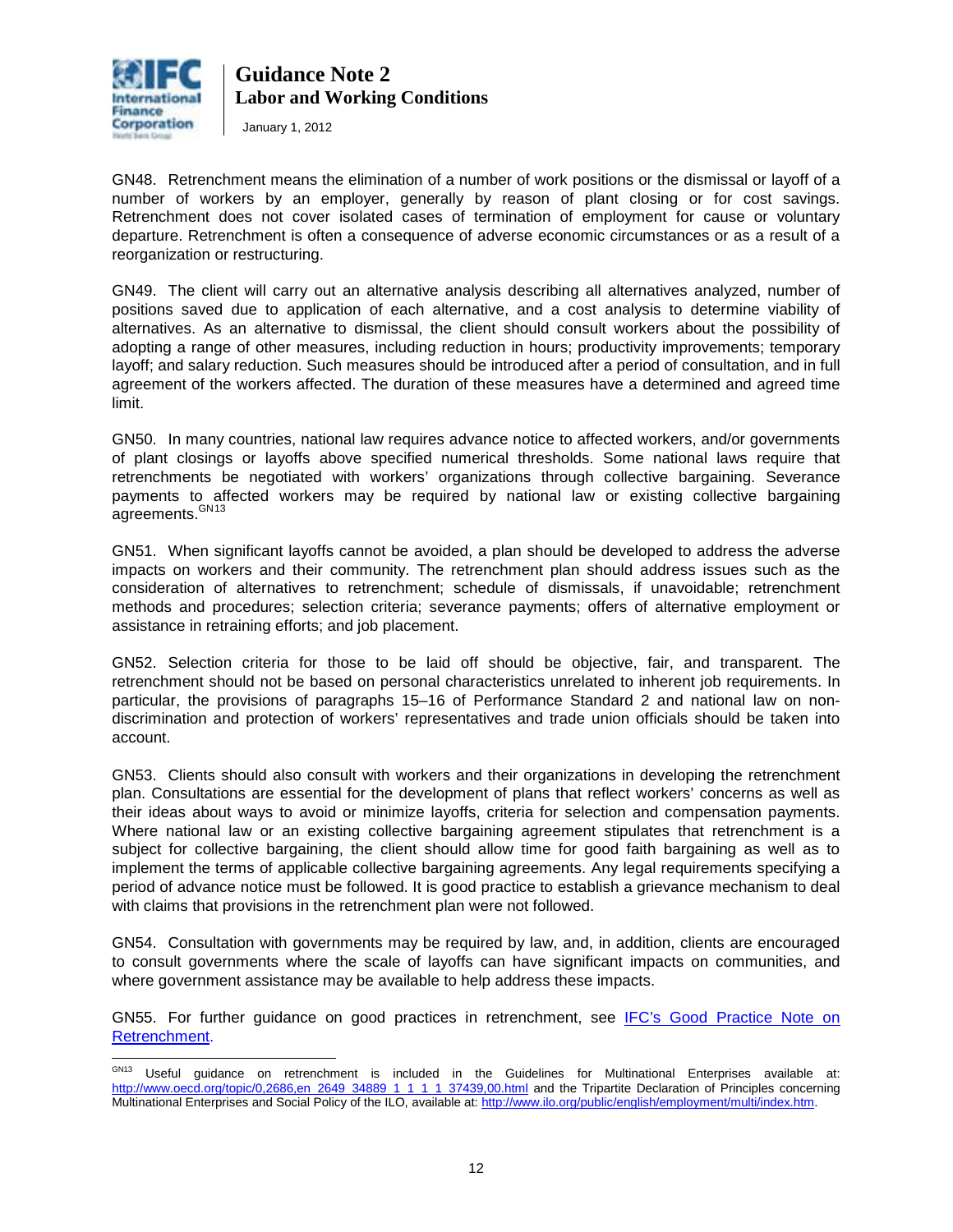

January 1, 2012

GN48. Retrenchment means the elimination of a number of work positions or the dismissal or layoff of a number of workers by an employer, generally by reason of plant closing or for cost savings. Retrenchment does not cover isolated cases of termination of employment for cause or voluntary departure. Retrenchment is often a consequence of adverse economic circumstances or as a result of a reorganization or restructuring.

GN49. The client will carry out an alternative analysis describing all alternatives analyzed, number of positions saved due to application of each alternative, and a cost analysis to determine viability of alternatives. As an alternative to dismissal, the client should consult workers about the possibility of adopting a range of other measures, including reduction in hours; productivity improvements; temporary layoff; and salary reduction. Such measures should be introduced after a period of consultation, and in full agreement of the workers affected. The duration of these measures have a determined and agreed time limit.

GN50. In many countries, national law requires advance notice to affected workers, and/or governments of plant closings or layoffs above specified numerical thresholds. Some national laws require that retrenchments be negotiated with workers' organizations through collective bargaining. Severance payments to affected workers may be required by national law or existing collective bargaining agreements.<sup>GN[13](#page-10-1)</sup>

GN51. When significant layoffs cannot be avoided, a plan should be developed to address the adverse impacts on workers and their community. The retrenchment plan should address issues such as the consideration of alternatives to retrenchment; schedule of dismissals, if unavoidable; retrenchment methods and procedures; selection criteria; severance payments; offers of alternative employment or assistance in retraining efforts; and job placement.

GN52. Selection criteria for those to be laid off should be objective, fair, and transparent. The retrenchment should not be based on personal characteristics unrelated to inherent job requirements. In particular, the provisions of paragraphs 15–16 of Performance Standard 2 and national law on nondiscrimination and protection of workers' representatives and trade union officials should be taken into account.

GN53. Clients should also consult with workers and their organizations in developing the retrenchment plan. Consultations are essential for the development of plans that reflect workers' concerns as well as their ideas about ways to avoid or minimize layoffs, criteria for selection and compensation payments. Where national law or an existing collective bargaining agreement stipulates that retrenchment is a subject for collective bargaining, the client should allow time for good faith bargaining as well as to implement the terms of applicable collective bargaining agreements. Any legal requirements specifying a period of advance notice must be followed. It is good practice to establish a grievance mechanism to deal with claims that provisions in the retrenchment plan were not followed.

GN54. Consultation with governments may be required by law, and, in addition, clients are encouraged to consult governments where the scale of layoffs can have significant impacts on communities, and where government assistance may be available to help address these impacts.

GN55. For further guidance on good practices in retrenchment, see [IFC's Good Practice Note on](http://www1.ifc.org/wps/wcm/connect/topics_ext_content/ifc_external_corporate_site/ifc+sustainability/publications/publications_gpn_retrenchment__wci__1319579072627)  [Retrenchment.](http://www1.ifc.org/wps/wcm/connect/topics_ext_content/ifc_external_corporate_site/ifc+sustainability/publications/publications_gpn_retrenchment__wci__1319579072627)

<span id="page-11-0"></span> $\overline{a}$ GN13 Useful guidance on retrenchment is included in the Guidelines for Multinational Enterprises available at: [http://www.oecd.org/topic/0,2686,en\\_2649\\_34889\\_1\\_1\\_1\\_1\\_37439,00.html](http://www.oecd.org/topic/0,2686,en_2649_34889_1_1_1_1_37439,00.html) and the Tripartite Declaration of Principles concerning Multinational Enterprises and Social Policy of the ILO, available at[: http://www.ilo.org/public/english/employment/multi/index.htm.](http://www.ilo.org/public/english/employment/multi/index.htm)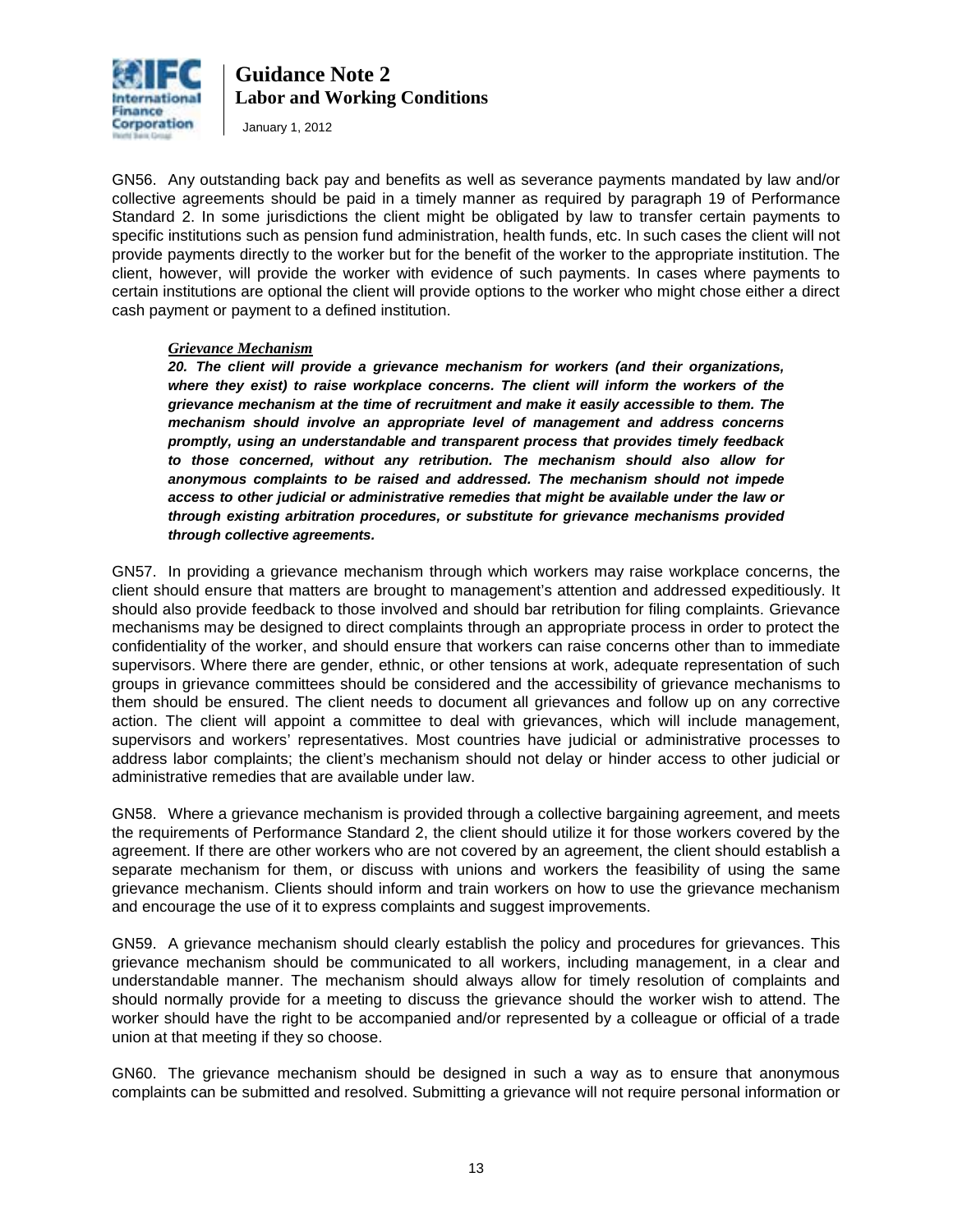

January 1, 2012

GN56. Any outstanding back pay and benefits as well as severance payments mandated by law and/or collective agreements should be paid in a timely manner as required by paragraph 19 of Performance Standard 2. In some jurisdictions the client might be obligated by law to transfer certain payments to specific institutions such as pension fund administration, health funds, etc. In such cases the client will not provide payments directly to the worker but for the benefit of the worker to the appropriate institution. The client, however, will provide the worker with evidence of such payments. In cases where payments to certain institutions are optional the client will provide options to the worker who might chose either a direct cash payment or payment to a defined institution.

#### *Grievance Mechanism*

*20. The client will provide a grievance mechanism for workers (and their organizations, where they exist) to raise workplace concerns. The client will inform the workers of the grievance mechanism at the time of recruitment and make it easily accessible to them. The mechanism should involve an appropriate level of management and address concerns promptly, using an understandable and transparent process that provides timely feedback to those concerned, without any retribution. The mechanism should also allow for anonymous complaints to be raised and addressed. The mechanism should not impede access to other judicial or administrative remedies that might be available under the law or through existing arbitration procedures, or substitute for grievance mechanisms provided through collective agreements.* 

GN57. In providing a grievance mechanism through which workers may raise workplace concerns, the client should ensure that matters are brought to management's attention and addressed expeditiously. It should also provide feedback to those involved and should bar retribution for filing complaints. Grievance mechanisms may be designed to direct complaints through an appropriate process in order to protect the confidentiality of the worker, and should ensure that workers can raise concerns other than to immediate supervisors. Where there are gender, ethnic, or other tensions at work, adequate representation of such groups in grievance committees should be considered and the accessibility of grievance mechanisms to them should be ensured. The client needs to document all grievances and follow up on any corrective action. The client will appoint a committee to deal with grievances, which will include management, supervisors and workers' representatives. Most countries have judicial or administrative processes to address labor complaints; the client's mechanism should not delay or hinder access to other judicial or administrative remedies that are available under law.

GN58. Where a grievance mechanism is provided through a collective bargaining agreement, and meets the requirements of Performance Standard 2, the client should utilize it for those workers covered by the agreement. If there are other workers who are not covered by an agreement, the client should establish a separate mechanism for them, or discuss with unions and workers the feasibility of using the same grievance mechanism. Clients should inform and train workers on how to use the grievance mechanism and encourage the use of it to express complaints and suggest improvements.

GN59. A grievance mechanism should clearly establish the policy and procedures for grievances. This grievance mechanism should be communicated to all workers, including management, in a clear and understandable manner. The mechanism should always allow for timely resolution of complaints and should normally provide for a meeting to discuss the grievance should the worker wish to attend. The worker should have the right to be accompanied and/or represented by a colleague or official of a trade union at that meeting if they so choose.

GN60. The grievance mechanism should be designed in such a way as to ensure that anonymous complaints can be submitted and resolved. Submitting a grievance will not require personal information or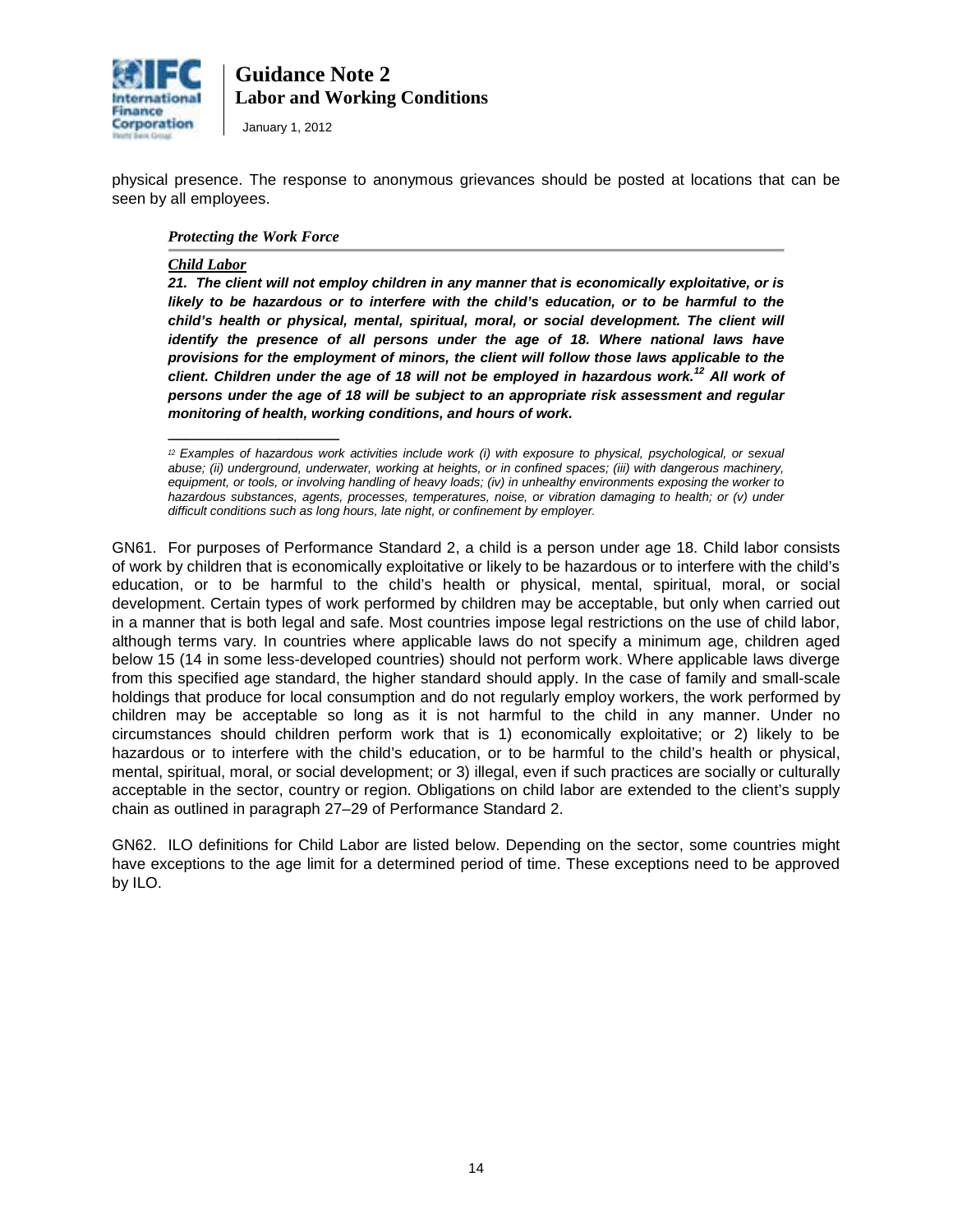

January 1, 2012

physical presence. The response to anonymous grievances should be posted at locations that can be seen by all employees.

#### *Protecting the Work Force*

**\_\_\_\_\_\_\_\_\_\_\_\_\_\_\_\_\_\_\_\_** 

#### *Child Labor*

*21. The client will not employ children in any manner that is economically exploitative, or is*  likely to be hazardous or to interfere with the child's education, or to be harmful to the child's health or physical, mental, spiritual, moral, or social development. The client will *identify the presence of all persons under the age of 18. Where national laws have provisions for the employment of minors, the client will follow those laws applicable to the client. Children under the age of 18 will not be employed in hazardous work.<sup>12</sup> All work of persons under the age of 18 will be subject to an appropriate risk assessment and regular monitoring of health, working conditions, and hours of work.* 

GN61. For purposes of Performance Standard 2, a child is a person under age 18. Child labor consists of work by children that is economically exploitative or likely to be hazardous or to interfere with the child's education, or to be harmful to the child's health or physical, mental, spiritual, moral, or social development. Certain types of work performed by children may be acceptable, but only when carried out in a manner that is both legal and safe. Most countries impose legal restrictions on the use of child labor, although terms vary. In countries where applicable laws do not specify a minimum age, children aged below 15 (14 in some less-developed countries) should not perform work. Where applicable laws diverge from this specified age standard, the higher standard should apply. In the case of family and small-scale holdings that produce for local consumption and do not regularly employ workers, the work performed by children may be acceptable so long as it is not harmful to the child in any manner. Under no circumstances should children perform work that is 1) economically exploitative; or 2) likely to be hazardous or to interfere with the child's education, or to be harmful to the child's health or physical, mental, spiritual, moral, or social development; or 3) illegal, even if such practices are socially or culturally acceptable in the sector, country or region. Obligations on child labor are extended to the client's supply chain as outlined in paragraph 27–29 of Performance Standard 2.

GN62. ILO definitions for Child Labor are listed below. Depending on the sector, some countries might have exceptions to the age limit for a determined period of time. These exceptions need to be approved by ILO.

*<sup>12</sup> Examples of hazardous work activities include work (i) with exposure to physical, psychological, or sexual abuse; (ii) underground, underwater, working at heights, or in confined spaces; (iii) with dangerous machinery, equipment, or tools, or involving handling of heavy loads; (iv) in unhealthy environments exposing the worker to hazardous substances, agents, processes, temperatures, noise, or vibration damaging to health; or (v) under difficult conditions such as long hours, late night, or confinement by employer.*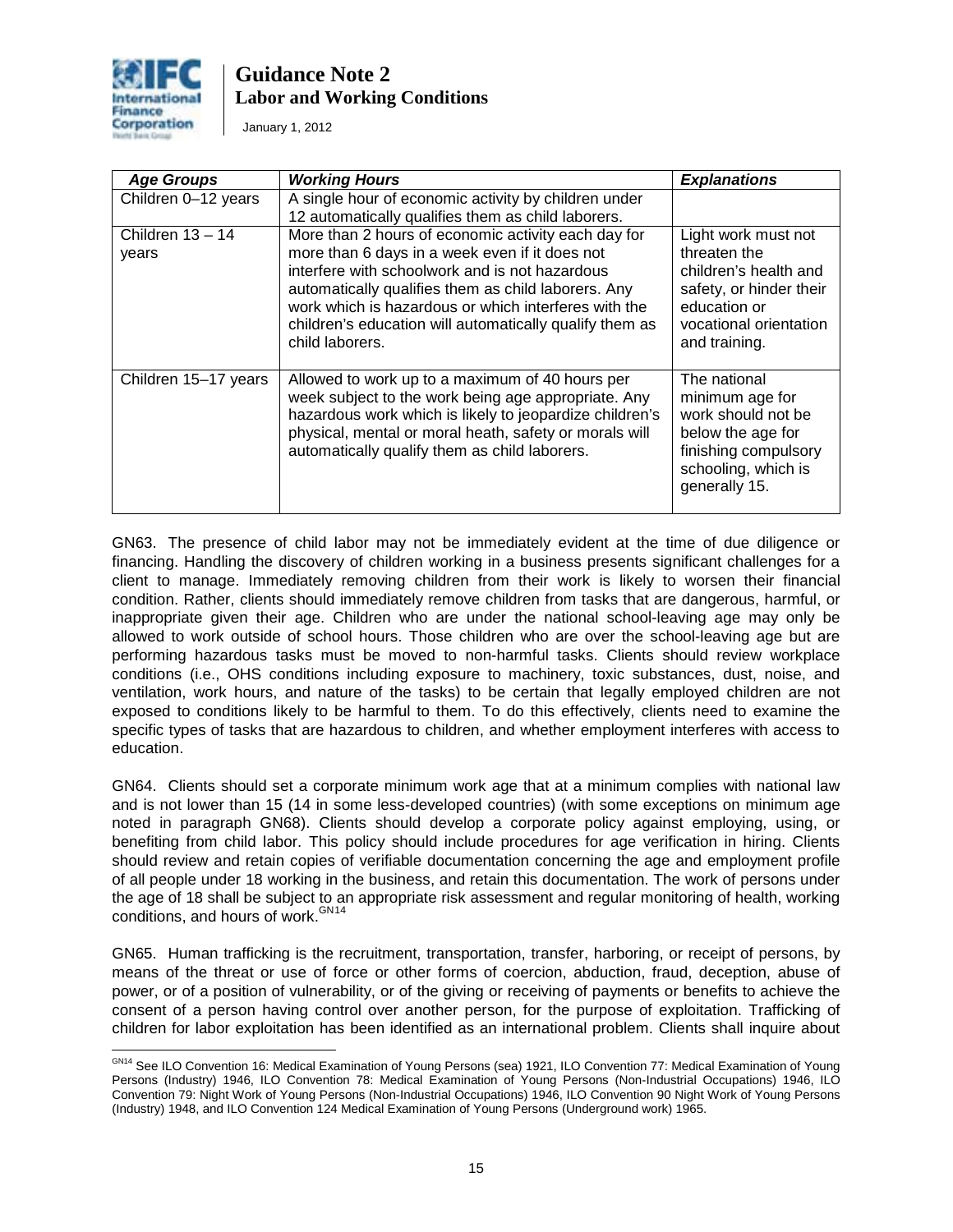

January 1, 2012

| <b>Age Groups</b>           | <b>Working Hours</b>                                                                                                                                                                                                                                                                                                                                 | <b>Explanations</b>                                                                                                                                |
|-----------------------------|------------------------------------------------------------------------------------------------------------------------------------------------------------------------------------------------------------------------------------------------------------------------------------------------------------------------------------------------------|----------------------------------------------------------------------------------------------------------------------------------------------------|
| Children 0-12 years         | A single hour of economic activity by children under<br>12 automatically qualifies them as child laborers.                                                                                                                                                                                                                                           |                                                                                                                                                    |
| Children $13 - 14$<br>years | More than 2 hours of economic activity each day for<br>more than 6 days in a week even if it does not<br>interfere with schoolwork and is not hazardous<br>automatically qualifies them as child laborers. Any<br>work which is hazardous or which interferes with the<br>children's education will automatically qualify them as<br>child laborers. | Light work must not<br>threaten the<br>children's health and<br>safety, or hinder their<br>education or<br>vocational orientation<br>and training. |
| Children 15-17 years        | Allowed to work up to a maximum of 40 hours per<br>week subject to the work being age appropriate. Any<br>hazardous work which is likely to jeopardize children's<br>physical, mental or moral heath, safety or morals will<br>automatically qualify them as child laborers.                                                                         | The national<br>minimum age for<br>work should not be<br>below the age for<br>finishing compulsory<br>schooling, which is<br>generally 15.         |

GN63. The presence of child labor may not be immediately evident at the time of due diligence or financing. Handling the discovery of children working in a business presents significant challenges for a client to manage. Immediately removing children from their work is likely to worsen their financial condition. Rather, clients should immediately remove children from tasks that are dangerous, harmful, or inappropriate given their age. Children who are under the national school-leaving age may only be allowed to work outside of school hours. Those children who are over the school-leaving age but are performing hazardous tasks must be moved to non-harmful tasks. Clients should review workplace conditions (i.e., OHS conditions including exposure to machinery, toxic substances, dust, noise, and ventilation, work hours, and nature of the tasks) to be certain that legally employed children are not exposed to conditions likely to be harmful to them. To do this effectively, clients need to examine the specific types of tasks that are hazardous to children, and whether employment interferes with access to education.

GN64. Clients should set a corporate minimum work age that at a minimum complies with national law and is not lower than 15 (14 in some less-developed countries) (with some exceptions on minimum age noted in paragraph GN68). Clients should develop a corporate policy against employing, using, or benefiting from child labor. This policy should include procedures for age verification in hiring. Clients should review and retain copies of verifiable documentation concerning the age and employment profile of all people under 18 working in the business, and retain this documentation. The work of persons under the age of 18 shall be subject to an appropriate risk assessment and regular monitoring of health, working conditions, and hours of work. GN[14](#page-11-0)

GN65. Human trafficking is the recruitment, transportation, transfer, harboring, or receipt of persons, by means of the threat or use of force or other forms of coercion, abduction, fraud, deception, abuse of power, or of a position of vulnerability, or of the giving or receiving of payments or benefits to achieve the consent of a person having control over another person, for the purpose of exploitation. Trafficking of children for labor exploitation has been identified as an international problem. Clients shall inquire about

<span id="page-14-0"></span> $\overline{a}$ GN14 See ILO Convention 16: Medical Examination of Young Persons (sea) 1921, ILO Convention 77: Medical Examination of Young Persons (Industry) 1946, ILO Convention 78: Medical Examination of Young Persons (Non-Industrial Occupations) 1946, ILO Convention 79: Night Work of Young Persons (Non-Industrial Occupations) 1946, ILO Convention 90 Night Work of Young Persons (Industry) 1948, and ILO Convention 124 Medical Examination of Young Persons (Underground work) 1965.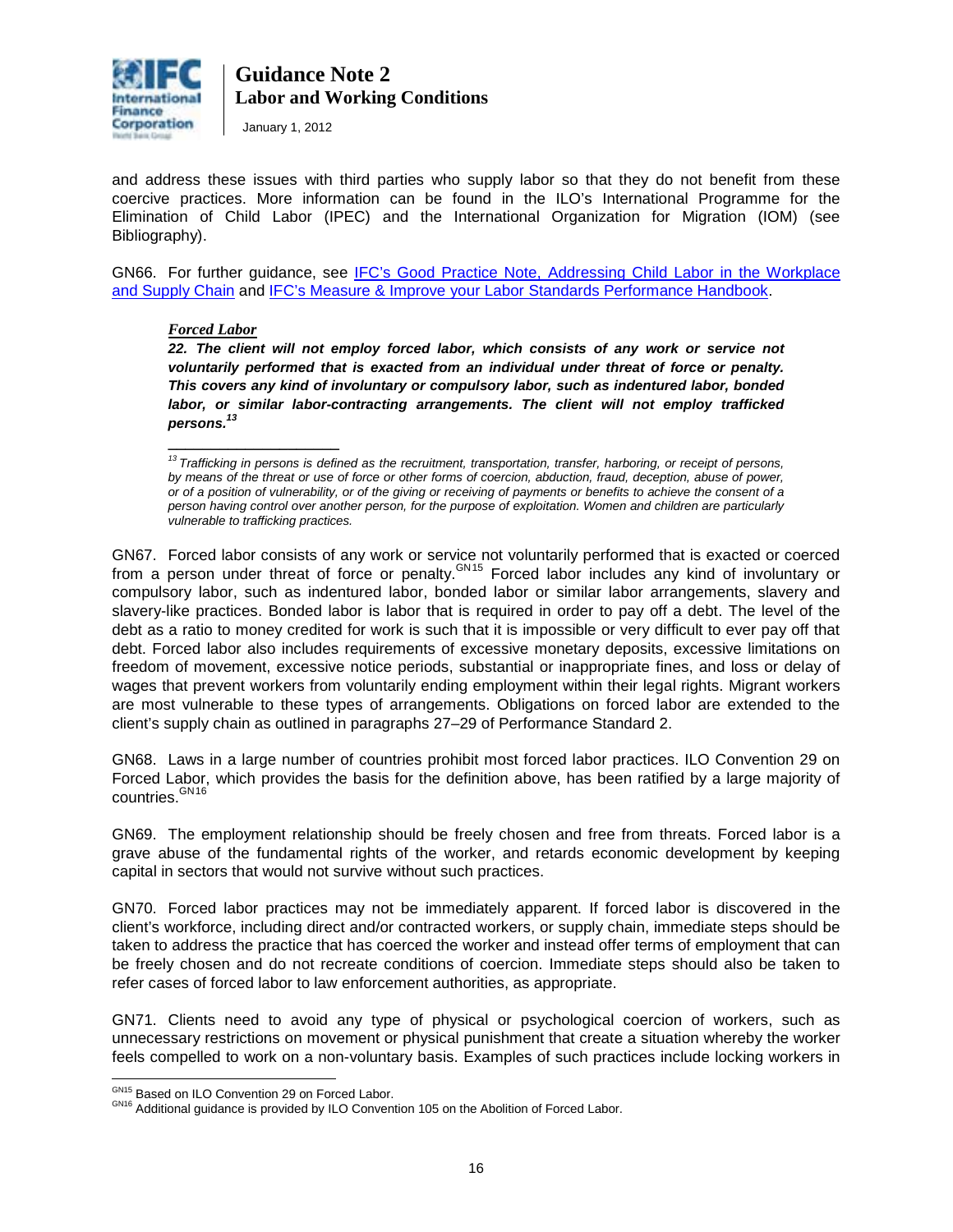

January 1, 2012

and address these issues with third parties who supply labor so that they do not benefit from these coercive practices. More information can be found in the ILO's International Programme for the Elimination of Child Labor (IPEC) and the International Organization for Migration (IOM) (see Bibliography).

GN66. For further guidance, see [IFC's Good Practice Note, Addressing Child Labor in the Workplace](http://www1.ifc.org/wps/wcm/connect/topics_ext_content/ifc_external_corporate_site/ifc+sustainability/publications/publications_gpn_childlabor)  [and Supply Chain](http://www1.ifc.org/wps/wcm/connect/topics_ext_content/ifc_external_corporate_site/ifc+sustainability/publications/publications_gpn_childlabor) and [IFC's Measure & Improve your Labor Standards Performance Handbook.](http://www1.ifc.org/wps/wcm/connect/Topics_ext_content/ifc_external_corporate_site/IFC%20Sustainability/Publications/Publications_Handbook_LaborStandardsPerformance__WCI__1319577153058?id=0b26798048d2ea1eb8c1bd4b02f32852&WCM_Page.ResetAll=TRUE&CACHE=NONE&C)

#### *Forced Labor*

**\_\_\_\_\_\_\_\_\_\_\_\_\_\_\_\_\_\_\_\_** 

*22. The client will not employ forced labor, which consists of any work or service not voluntarily performed that is exacted from an individual under threat of force or penalty. This covers any kind of involuntary or compulsory labor, such as indentured labor, bonded*  labor, or similar labor-contracting arrangements. The client will not employ trafficked *persons. 13* 

GN67. Forced labor consists of any work or service not voluntarily performed that is exacted or coerced from a person under threat of force or penalty. <sup>GN[15](#page-14-0)</sup> Forced labor includes any kind of involuntary or compulsory labor, such as indentured labor, bonded labor or similar labor arrangements, slavery and slavery-like practices. Bonded labor is labor that is required in order to pay off a debt. The level of the debt as a ratio to money credited for work is such that it is impossible or very difficult to ever pay off that debt. Forced labor also includes requirements of excessive monetary deposits, excessive limitations on freedom of movement, excessive notice periods, substantial or inappropriate fines, and loss or delay of wages that prevent workers from voluntarily ending employment within their legal rights. Migrant workers are most vulnerable to these types of arrangements. Obligations on forced labor are extended to the client's supply chain as outlined in paragraphs 27–29 of Performance Standard 2.

GN68. Laws in a large number of countries prohibit most forced labor practices. ILO Convention 29 on Forced Labor, which provides the basis for the definition above, has been ratified by a large majority of countries.<sup>GN[16](#page-15-0)</sup>

GN69. The employment relationship should be freely chosen and free from threats. Forced labor is a grave abuse of the fundamental rights of the worker, and retards economic development by keeping capital in sectors that would not survive without such practices.

GN70. Forced labor practices may not be immediately apparent. If forced labor is discovered in the client's workforce, including direct and/or contracted workers, or supply chain, immediate steps should be taken to address the practice that has coerced the worker and instead offer terms of employment that can be freely chosen and do not recreate conditions of coercion. Immediate steps should also be taken to refer cases of forced labor to law enforcement authorities, as appropriate.

GN71. Clients need to avoid any type of physical or psychological coercion of workers, such as unnecessary restrictions on movement or physical punishment that create a situation whereby the worker feels compelled to work on a non-voluntary basis. Examples of such practices include locking workers in

*<sup>13</sup> Trafficking in persons is defined as the recruitment, transportation, transfer, harboring, or receipt of persons,*  by means of the threat or use of force or other forms of coercion, abduction, fraud, deception, abuse of power, *or of a position of vulnerability, or of the giving or receiving of payments or benefits to achieve the consent of a person having control over another person, for the purpose of exploitation. Women and children are particularly vulnerable to trafficking practices.*

<span id="page-15-1"></span>GN15 Based on ILO Convention 29 on Forced Labor.

<span id="page-15-0"></span>GN16 Based on ILC Convention 20 on ILO Convention 105 on the Abolition of Forced Labor.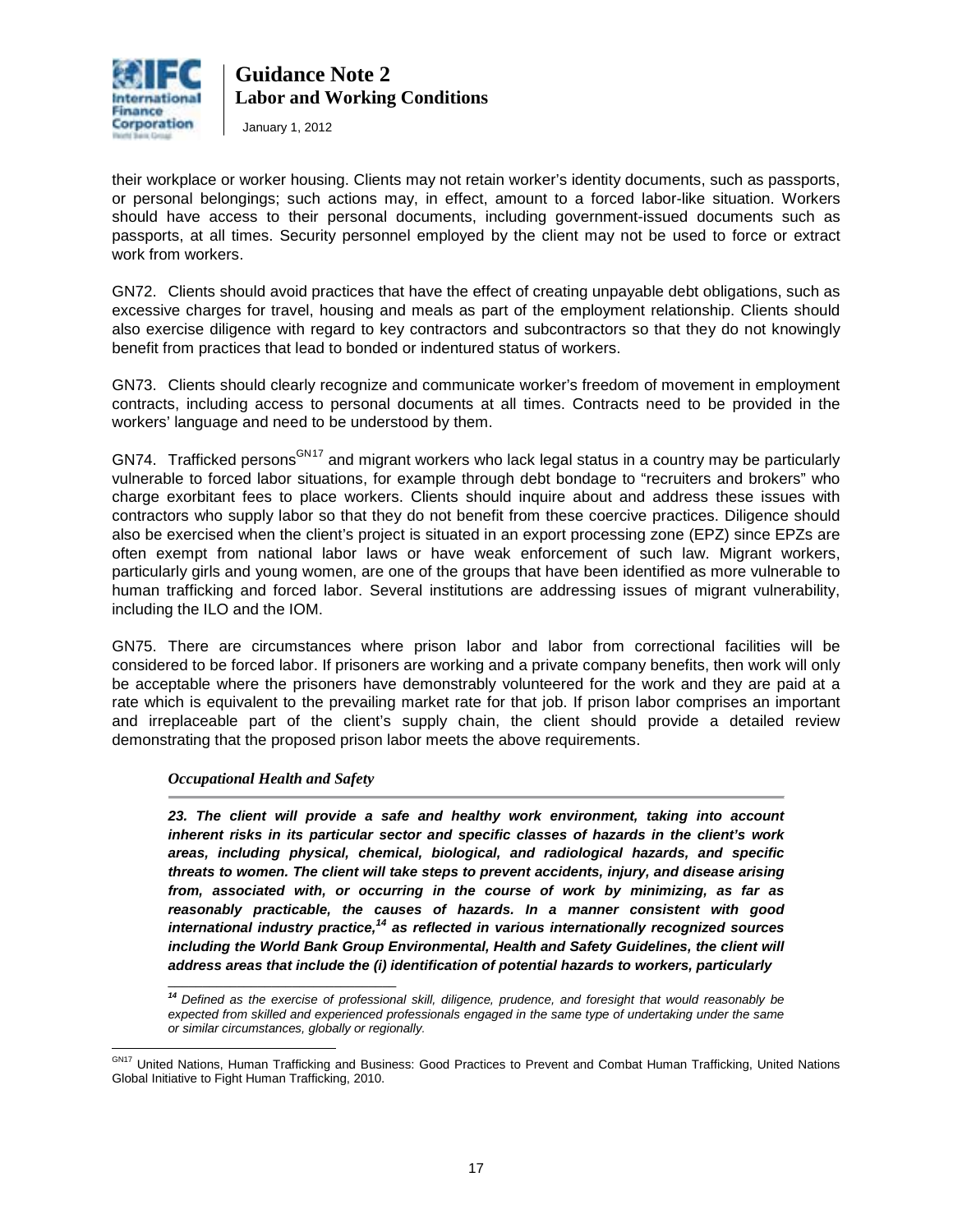

January 1, 2012

their workplace or worker housing. Clients may not retain worker's identity documents, such as passports, or personal belongings; such actions may, in effect, amount to a forced labor-like situation. Workers should have access to their personal documents, including government-issued documents such as passports, at all times. Security personnel employed by the client may not be used to force or extract work from workers.

GN72. Clients should avoid practices that have the effect of creating unpayable debt obligations, such as excessive charges for travel, housing and meals as part of the employment relationship. Clients should also exercise diligence with regard to key contractors and subcontractors so that they do not knowingly benefit from practices that lead to bonded or indentured status of workers.

GN73. Clients should clearly recognize and communicate worker's freedom of movement in employment contracts, including access to personal documents at all times. Contracts need to be provided in the workers' language and need to be understood by them.

GN74. Trafficked persons<sup>GN[17](#page-15-1)</sup> and migrant workers who lack legal status in a country may be particularly vulnerable to forced labor situations, for example through debt bondage to "recruiters and brokers" who charge exorbitant fees to place workers. Clients should inquire about and address these issues with contractors who supply labor so that they do not benefit from these coercive practices. Diligence should also be exercised when the client's project is situated in an export processing zone (EPZ) since EPZs are often exempt from national labor laws or have weak enforcement of such law. Migrant workers, particularly girls and young women, are one of the groups that have been identified as more vulnerable to human trafficking and forced labor. Several institutions are addressing issues of migrant vulnerability, including the ILO and the IOM.

GN75. There are circumstances where prison labor and labor from correctional facilities will be considered to be forced labor. If prisoners are working and a private company benefits, then work will only be acceptable where the prisoners have demonstrably volunteered for the work and they are paid at a rate which is equivalent to the prevailing market rate for that job. If prison labor comprises an important and irreplaceable part of the client's supply chain, the client should provide a detailed review demonstrating that the proposed prison labor meets the above requirements.

#### *Occupational Health and Safety*

\_\_\_\_\_\_\_\_\_\_\_\_\_\_\_\_\_\_\_\_\_\_\_\_\_\_\_\_\_\_\_\_\_

*23. The client will provide a safe and healthy work environment, taking into account inherent risks in its particular sector and specific classes of hazards in the client's work areas, including physical, chemical, biological, and radiological hazards, and specific threats to women. The client will take steps to prevent accidents, injury, and disease arising from, associated with, or occurring in the course of work by minimizing, as far as reasonably practicable, the causes of hazards. In a manner consistent with good international industry practice,<sup>14</sup> as reflected in various internationally recognized sources* including the World Bank Group Environmental, Health and Safety Guidelines, the client will *address areas that include the (i) identification of potential hazards to workers, particularly*

*<sup>14</sup> Defined as the exercise of professional skill, diligence, prudence, and foresight that would reasonably be expected from skilled and experienced professionals engaged in the same type of undertaking under the same or similar circumstances, globally or regionally.*

<span id="page-16-0"></span> $\overline{a}$ <sup>GN17</sup> United Nations, Human Trafficking and Business: Good Practices to Prevent and Combat Human Trafficking, United Nations Global Initiative to Fight Human Trafficking, 2010.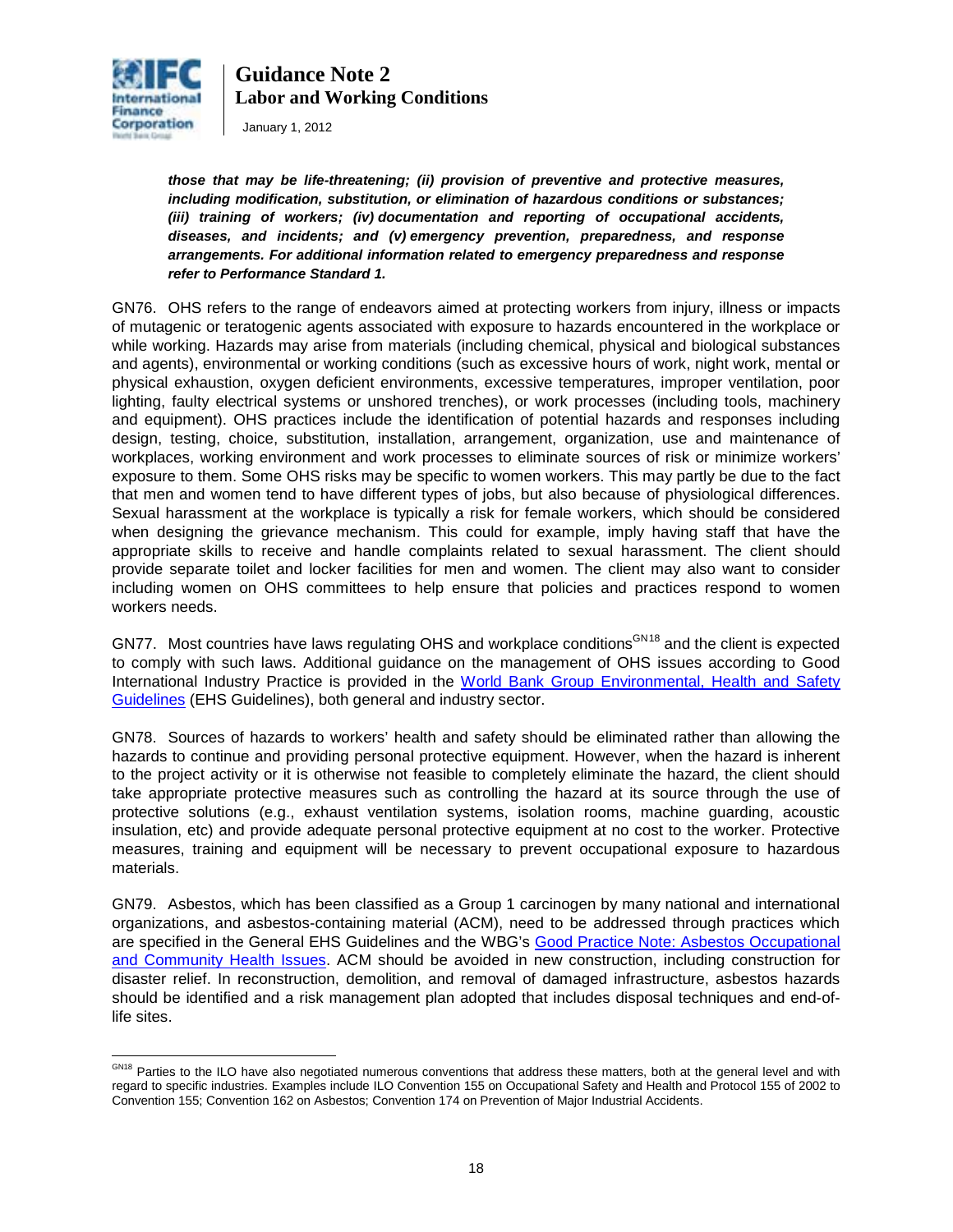

 $\overline{a}$ 

# **Guidance Note 2 Labor and Working Conditions**

January 1, 2012

*those that may be life-threatening; (ii) provision of preventive and protective measures, including modification, substitution, or elimination of hazardous conditions or substances; (iii) training of workers; (iv) documentation and reporting of occupational accidents, diseases, and incidents; and (v) emergency prevention, preparedness, and response arrangements. For additional information related to emergency preparedness and response refer to Performance Standard 1.*

GN76. OHS refers to the range of endeavors aimed at protecting workers from injury, illness or impacts of mutagenic or teratogenic agents associated with exposure to hazards encountered in the workplace or while working. Hazards may arise from materials (including chemical, physical and biological substances and agents), environmental or working conditions (such as excessive hours of work, night work, mental or physical exhaustion, oxygen deficient environments, excessive temperatures, improper ventilation, poor lighting, faulty electrical systems or unshored trenches), or work processes (including tools, machinery and equipment). OHS practices include the identification of potential hazards and responses including design, testing, choice, substitution, installation, arrangement, organization, use and maintenance of workplaces, working environment and work processes to eliminate sources of risk or minimize workers' exposure to them. Some OHS risks may be specific to women workers. This may partly be due to the fact that men and women tend to have different types of jobs, but also because of physiological differences. Sexual harassment at the workplace is typically a risk for female workers, which should be considered when designing the grievance mechanism. This could for example, imply having staff that have the appropriate skills to receive and handle complaints related to sexual harassment. The client should provide separate toilet and locker facilities for men and women. The client may also want to consider including women on OHS committees to help ensure that policies and practices respond to women workers needs.

GN77. Most countries have laws regulating OHS and workplace conditions<sup>GN[18](#page-16-0)</sup> and the client is expected to comply with such laws. Additional guidance on the management of OHS issues according to Good International Industry Practice is provided in the [World Bank Group Environmental, Health and Safety](http://www1.ifc.org/wps/wcm/connect/topics_ext_content/ifc_external_corporate_site/ifc+sustainability/risk+management/sustainability+framework/sustainability+framework+-+2006/environmental%2C+health%2C+and+safety+guidelines/ehsguidelines)  [Guidelines](http://www1.ifc.org/wps/wcm/connect/topics_ext_content/ifc_external_corporate_site/ifc+sustainability/risk+management/sustainability+framework/sustainability+framework+-+2006/environmental%2C+health%2C+and+safety+guidelines/ehsguidelines) (EHS Guidelines), both general and industry sector.

GN78. Sources of hazards to workers' health and safety should be eliminated rather than allowing the hazards to continue and providing personal protective equipment. However, when the hazard is inherent to the project activity or it is otherwise not feasible to completely eliminate the hazard, the client should take appropriate protective measures such as controlling the hazard at its source through the use of protective solutions (e.g., exhaust ventilation systems, isolation rooms, machine guarding, acoustic insulation, etc) and provide adequate personal protective equipment at no cost to the worker. Protective measures, training and equipment will be necessary to prevent occupational exposure to hazardous materials.

GN79. Asbestos, which has been classified as a Group 1 carcinogen by many national and international organizations, and asbestos-containing material (ACM), need to be addressed through practices which are specified in the General EHS Guidelines and the WBG's Good Practice Note: Asbestos Occupational [and Community Health Issues.](http://www.bwint.org/pdfs/WB-AsbestosGuidanceNote.pdf) ACM should be avoided in new construction, including construction for disaster relief. In reconstruction, demolition, and removal of damaged infrastructure, asbestos hazards should be identified and a risk management plan adopted that includes disposal techniques and end-oflife sites.

<span id="page-17-0"></span>GN18 Parties to the ILO have also negotiated numerous conventions that address these matters, both at the general level and with regard to specific industries. Examples include ILO Convention 155 on Occupational Safety and Health and Protocol 155 of 2002 to Convention 155; Convention 162 on Asbestos; Convention 174 on Prevention of Major Industrial Accidents.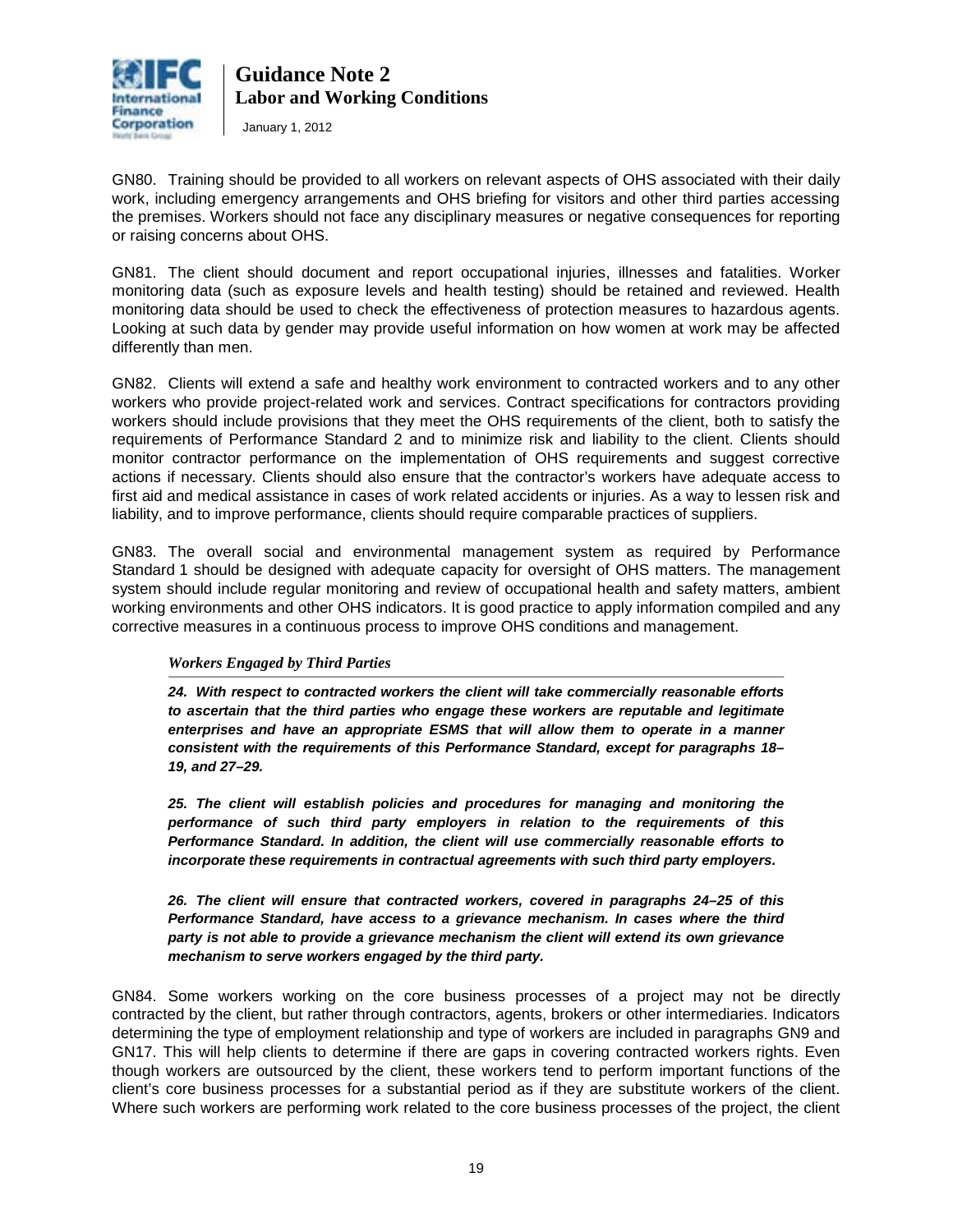

January 1, 2012

GN80. Training should be provided to all workers on relevant aspects of OHS associated with their daily work, including emergency arrangements and OHS briefing for visitors and other third parties accessing the premises. Workers should not face any disciplinary measures or negative consequences for reporting or raising concerns about OHS.

GN81. The client should document and report occupational injuries, illnesses and fatalities. Worker monitoring data (such as exposure levels and health testing) should be retained and reviewed. Health monitoring data should be used to check the effectiveness of protection measures to hazardous agents. Looking at such data by gender may provide useful information on how women at work may be affected differently than men.

GN82. Clients will extend a safe and healthy work environment to contracted workers and to any other workers who provide project-related work and services. Contract specifications for contractors providing workers should include provisions that they meet the OHS requirements of the client, both to satisfy the requirements of Performance Standard 2 and to minimize risk and liability to the client. Clients should monitor contractor performance on the implementation of OHS requirements and suggest corrective actions if necessary. Clients should also ensure that the contractor's workers have adequate access to first aid and medical assistance in cases of work related accidents or injuries. As a way to lessen risk and liability, and to improve performance, clients should require comparable practices of suppliers.

GN83. The overall social and environmental management system as required by Performance Standard 1 should be designed with adequate capacity for oversight of OHS matters. The management system should include regular monitoring and review of occupational health and safety matters, ambient working environments and other OHS indicators. It is good practice to apply information compiled and any corrective measures in a continuous process to improve OHS conditions and management.

## *Workers Engaged by Third Parties*

*24. With respect to contracted workers the client will take commercially reasonable efforts to ascertain that the third parties who engage these workers are reputable and legitimate enterprises and have an appropriate ESMS that will allow them to operate in a manner consistent with the requirements of this Performance Standard, except for paragraphs 18– 19, and 27–29.* 

*25. The client will establish policies and procedures for managing and monitoring the performance of such third party employers in relation to the requirements of this Performance Standard. In addition, the client will use commercially reasonable efforts to incorporate these requirements in contractual agreements with such third party employers.* 

#### *26. The client will ensure that contracted workers, covered in paragraphs 24–25 of this Performance Standard, have access to a grievance mechanism. In cases where the third party is not able to provide a grievance mechanism the client will extend its own grievance mechanism to serve workers engaged by the third party.*

GN84. Some workers working on the core business processes of a project may not be directly contracted by the client, but rather through contractors, agents, brokers or other intermediaries. Indicators determining the type of employment relationship and type of workers are included in paragraphs GN9 and GN17. This will help clients to determine if there are gaps in covering contracted workers rights. Even though workers are outsourced by the client, these workers tend to perform important functions of the client's core business processes for a substantial period as if they are substitute workers of the client. Where such workers are performing work related to the core business processes of the project, the client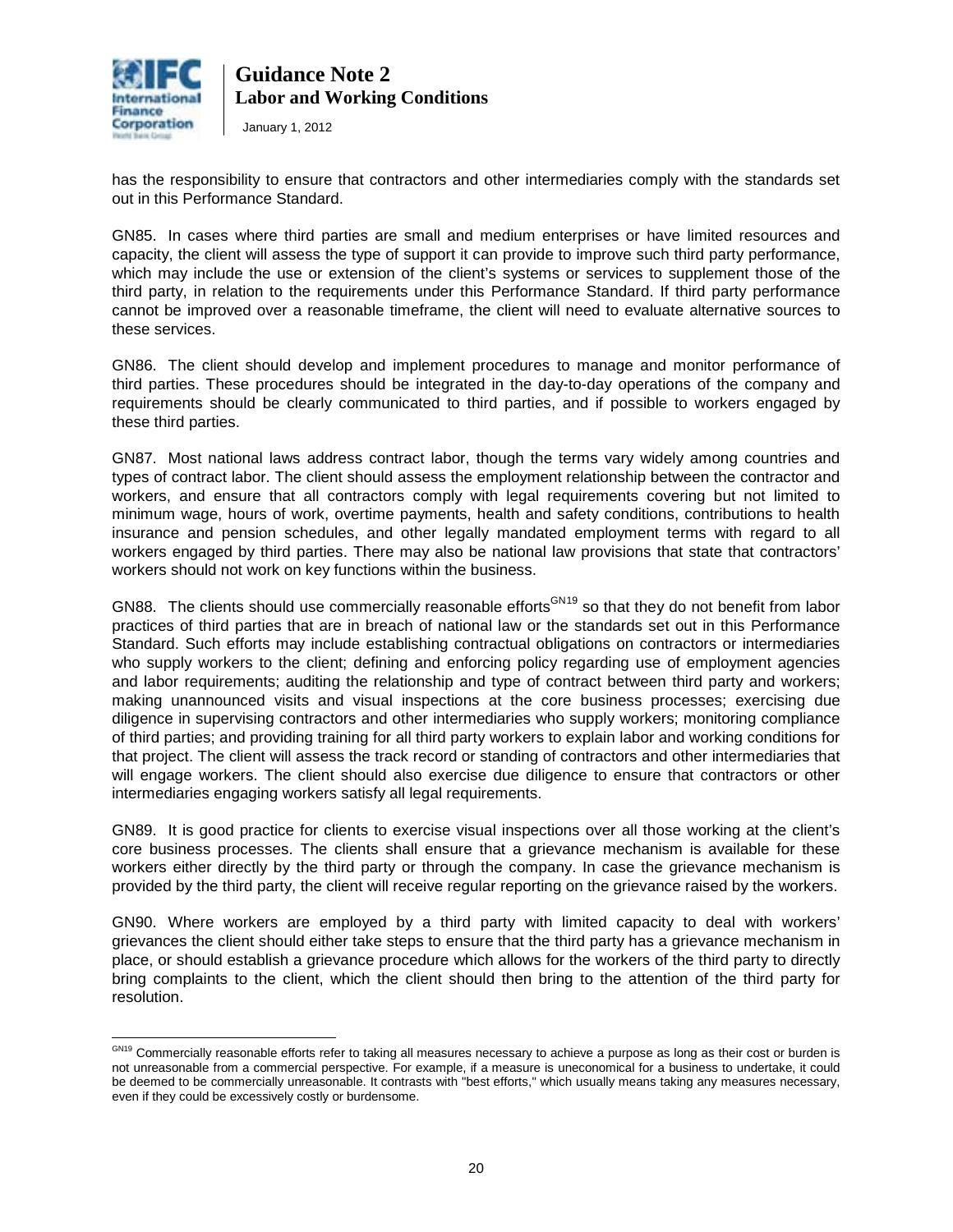

 $\overline{a}$ 

**Guidance Note 2 Labor and Working Conditions** 

January 1, 2012

has the responsibility to ensure that contractors and other intermediaries comply with the standards set out in this Performance Standard.

GN85. In cases where third parties are small and medium enterprises or have limited resources and capacity, the client will assess the type of support it can provide to improve such third party performance, which may include the use or extension of the client's systems or services to supplement those of the third party, in relation to the requirements under this Performance Standard. If third party performance cannot be improved over a reasonable timeframe, the client will need to evaluate alternative sources to these services.

GN86. The client should develop and implement procedures to manage and monitor performance of third parties. These procedures should be integrated in the day-to-day operations of the company and requirements should be clearly communicated to third parties, and if possible to workers engaged by these third parties.

GN87. Most national laws address contract labor, though the terms vary widely among countries and types of contract labor. The client should assess the employment relationship between the contractor and workers, and ensure that all contractors comply with legal requirements covering but not limited to minimum wage, hours of work, overtime payments, health and safety conditions, contributions to health insurance and pension schedules, and other legally mandated employment terms with regard to all workers engaged by third parties. There may also be national law provisions that state that contractors' workers should not work on key functions within the business.

GN88. The clients should use commercially reasonable efforts<sup>GN[19](#page-17-0)</sup> so that they do not benefit from labor practices of third parties that are in breach of national law or the standards set out in this Performance Standard. Such efforts may include establishing contractual obligations on contractors or intermediaries who supply workers to the client; defining and enforcing policy regarding use of employment agencies and labor requirements; auditing the relationship and type of contract between third party and workers; making unannounced visits and visual inspections at the core business processes; exercising due diligence in supervising contractors and other intermediaries who supply workers; monitoring compliance of third parties; and providing training for all third party workers to explain labor and working conditions for that project. The client will assess the track record or standing of contractors and other intermediaries that will engage workers. The client should also exercise due diligence to ensure that contractors or other intermediaries engaging workers satisfy all legal requirements.

GN89. It is good practice for clients to exercise visual inspections over all those working at the client's core business processes. The clients shall ensure that a grievance mechanism is available for these workers either directly by the third party or through the company. In case the grievance mechanism is provided by the third party, the client will receive regular reporting on the grievance raised by the workers.

GN90. Where workers are employed by a third party with limited capacity to deal with workers' grievances the client should either take steps to ensure that the third party has a grievance mechanism in place, or should establish a grievance procedure which allows for the workers of the third party to directly bring complaints to the client, which the client should then bring to the attention of the third party for resolution.

<sup>&</sup>lt;sup>GN19</sup> Commercially reasonable efforts refer to taking all measures necessary to achieve a purpose as long as their cost or burden is not unreasonable from a commercial perspective. For example, if a measure is uneconomical for a business to undertake, it could be deemed to be commercially unreasonable. It contrasts with "best efforts," which usually means taking any measures necessary, even if they could be excessively costly or burdensome.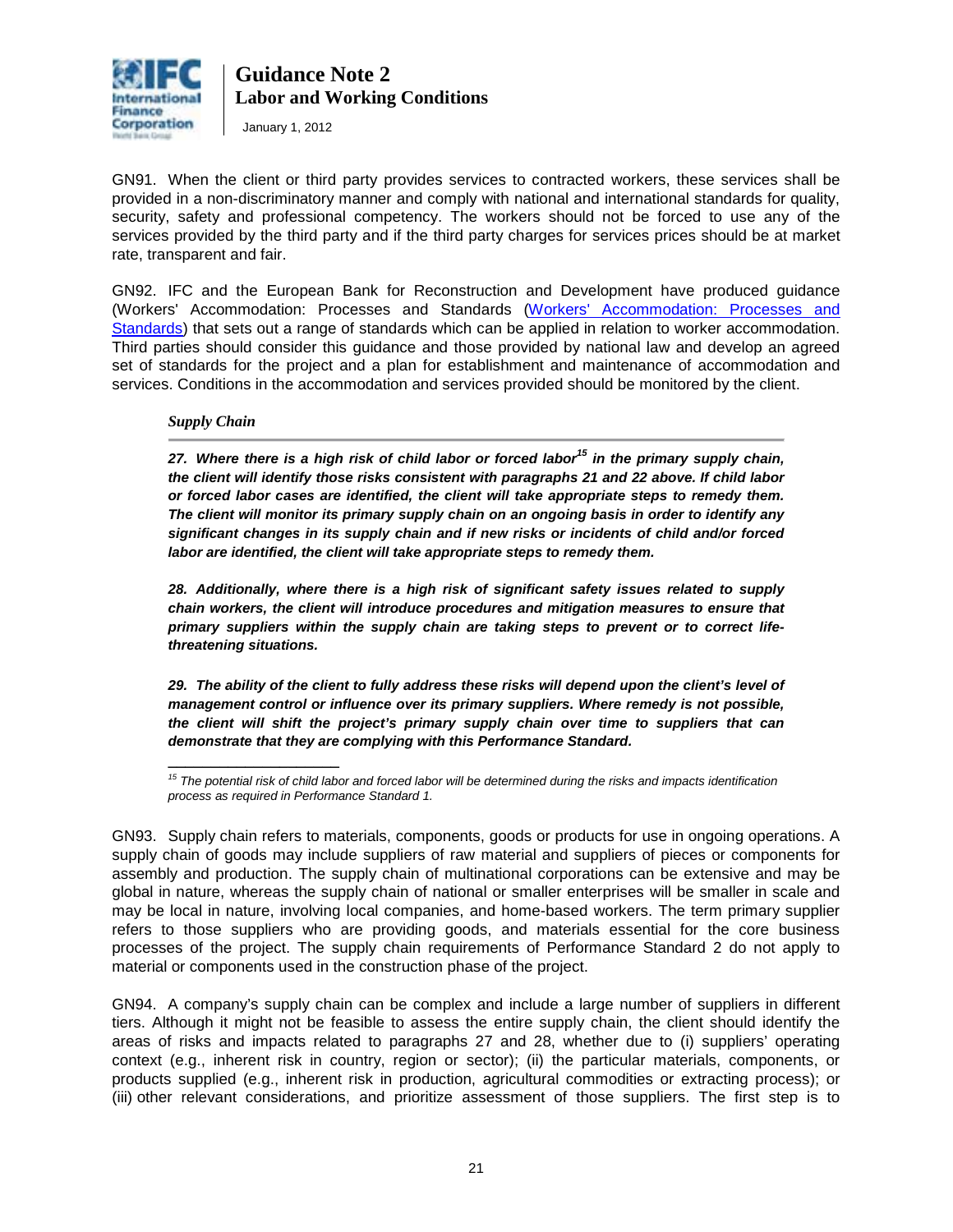

January 1, 2012

GN91. When the client or third party provides services to contracted workers, these services shall be provided in a non-discriminatory manner and comply with national and international standards for quality, security, safety and professional competency. The workers should not be forced to use any of the services provided by the third party and if the third party charges for services prices should be at market rate, transparent and fair.

GN92. IFC and the European Bank for Reconstruction and Development have produced guidance (Workers' Accommodation: Processes and Standards [\(Workers' Accommodation: Processes and](http://www1.ifc.org/wps/wcm/connect/topics_ext_content/ifc_external_corporate_site/ifc+sustainability/publications/publications_gpn_workersaccommodation)  [Standards\)](http://www1.ifc.org/wps/wcm/connect/topics_ext_content/ifc_external_corporate_site/ifc+sustainability/publications/publications_gpn_workersaccommodation) that sets out a range of standards which can be applied in relation to worker accommodation. Third parties should consider this guidance and those provided by national law and develop an agreed set of standards for the project and a plan for establishment and maintenance of accommodation and services. Conditions in the accommodation and services provided should be monitored by the client.

*Supply Chain*

**\_\_\_\_\_\_\_\_\_\_\_\_\_\_\_\_\_\_\_\_** 

*27. Where there is a high risk of child labor or forced labor15 in the primary supply chain, the client will identify those risks consistent with paragraphs 21 and 22 above. If child labor or forced labor cases are identified, the client will take appropriate steps to remedy them. The client will monitor its primary supply chain on an ongoing basis in order to identify any significant changes in its supply chain and if new risks or incidents of child and/or forced labor are identified, the client will take appropriate steps to remedy them.* 

*28. Additionally, where there is a high risk of significant safety issues related to supply chain workers, the client will introduce procedures and mitigation measures to ensure that primary suppliers within the supply chain are taking steps to prevent or to correct lifethreatening situations.* 

*29. The ability of the client to fully address these risks will depend upon the client's level of management control or influence over its primary suppliers. Where remedy is not possible, the client will shift the project's primary supply chain over time to suppliers that can demonstrate that they are complying with this Performance Standard.* 

GN94. A company's supply chain can be complex and include a large number of suppliers in different tiers. Although it might not be feasible to assess the entire supply chain, the client should identify the areas of risks and impacts related to paragraphs 27 and 28, whether due to (i) suppliers' operating context (e.g., inherent risk in country, region or sector); (ii) the particular materials, components, or products supplied (e.g., inherent risk in production, agricultural commodities or extracting process); or (iii) other relevant considerations, and prioritize assessment of those suppliers. The first step is to

*<sup>15</sup> The potential risk of child labor and forced labor will be determined during the risks and impacts identification process as required in Performance Standard 1.* 

GN93. Supply chain refers to materials, components, goods or products for use in ongoing operations. A supply chain of goods may include suppliers of raw material and suppliers of pieces or components for assembly and production. The supply chain of multinational corporations can be extensive and may be global in nature, whereas the supply chain of national or smaller enterprises will be smaller in scale and may be local in nature, involving local companies, and home-based workers. The term primary supplier refers to those suppliers who are providing goods, and materials essential for the core business processes of the project. The supply chain requirements of Performance Standard 2 do not apply to material or components used in the construction phase of the project.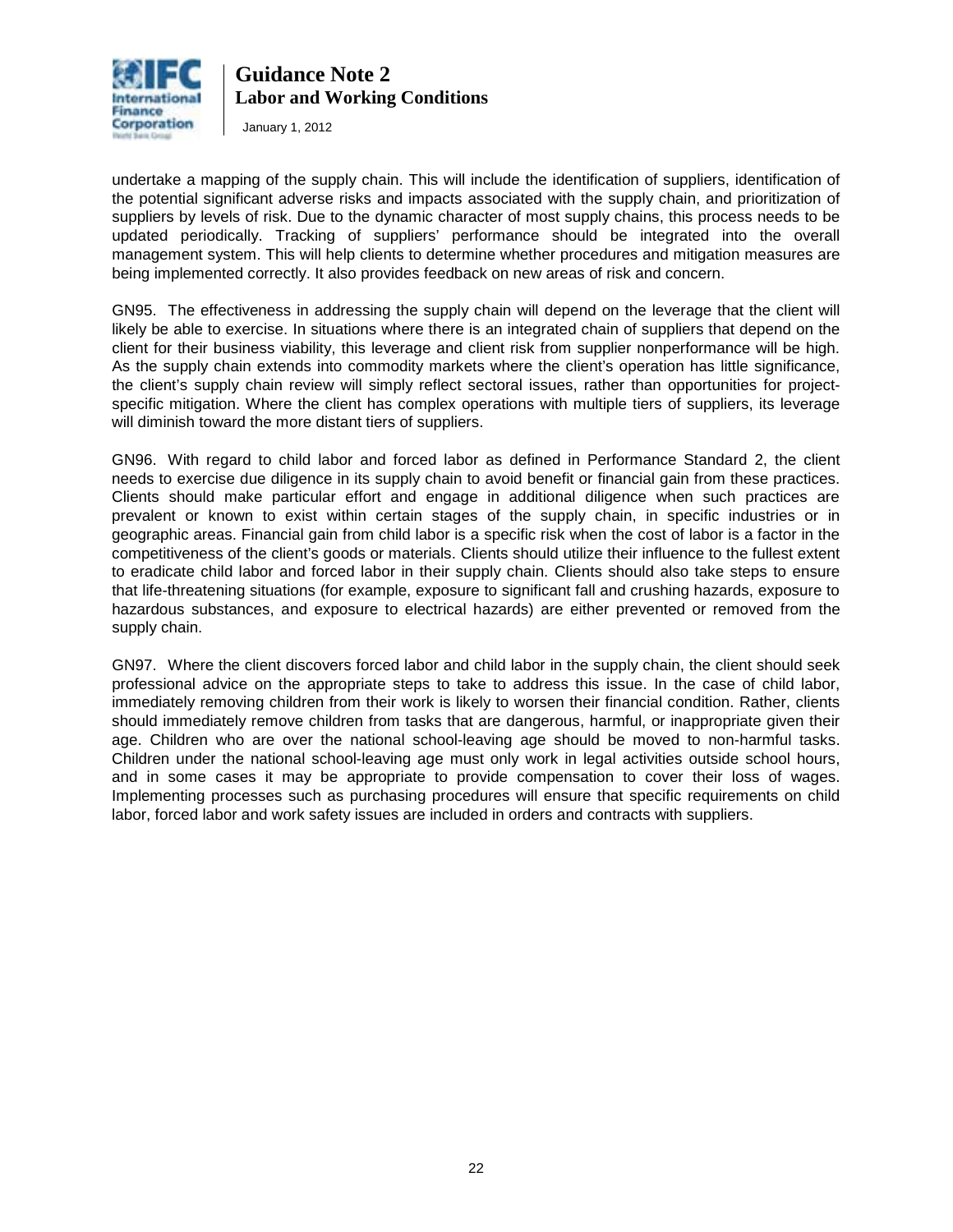

January 1, 2012

undertake a mapping of the supply chain. This will include the identification of suppliers, identification of the potential significant adverse risks and impacts associated with the supply chain, and prioritization of suppliers by levels of risk. Due to the dynamic character of most supply chains, this process needs to be updated periodically. Tracking of suppliers' performance should be integrated into the overall management system. This will help clients to determine whether procedures and mitigation measures are being implemented correctly. It also provides feedback on new areas of risk and concern.

GN95. The effectiveness in addressing the supply chain will depend on the leverage that the client will likely be able to exercise. In situations where there is an integrated chain of suppliers that depend on the client for their business viability, this leverage and client risk from supplier nonperformance will be high. As the supply chain extends into commodity markets where the client's operation has little significance, the client's supply chain review will simply reflect sectoral issues, rather than opportunities for projectspecific mitigation. Where the client has complex operations with multiple tiers of suppliers, its leverage will diminish toward the more distant tiers of suppliers.

GN96. With regard to child labor and forced labor as defined in Performance Standard 2, the client needs to exercise due diligence in its supply chain to avoid benefit or financial gain from these practices. Clients should make particular effort and engage in additional diligence when such practices are prevalent or known to exist within certain stages of the supply chain, in specific industries or in geographic areas. Financial gain from child labor is a specific risk when the cost of labor is a factor in the competitiveness of the client's goods or materials. Clients should utilize their influence to the fullest extent to eradicate child labor and forced labor in their supply chain. Clients should also take steps to ensure that life-threatening situations (for example, exposure to significant fall and crushing hazards, exposure to hazardous substances, and exposure to electrical hazards) are either prevented or removed from the supply chain.

GN97. Where the client discovers forced labor and child labor in the supply chain, the client should seek professional advice on the appropriate steps to take to address this issue. In the case of child labor, immediately removing children from their work is likely to worsen their financial condition. Rather, clients should immediately remove children from tasks that are dangerous, harmful, or inappropriate given their age. Children who are over the national school-leaving age should be moved to non-harmful tasks. Children under the national school-leaving age must only work in legal activities outside school hours, and in some cases it may be appropriate to provide compensation to cover their loss of wages. Implementing processes such as purchasing procedures will ensure that specific requirements on child labor, forced labor and work safety issues are included in orders and contracts with suppliers.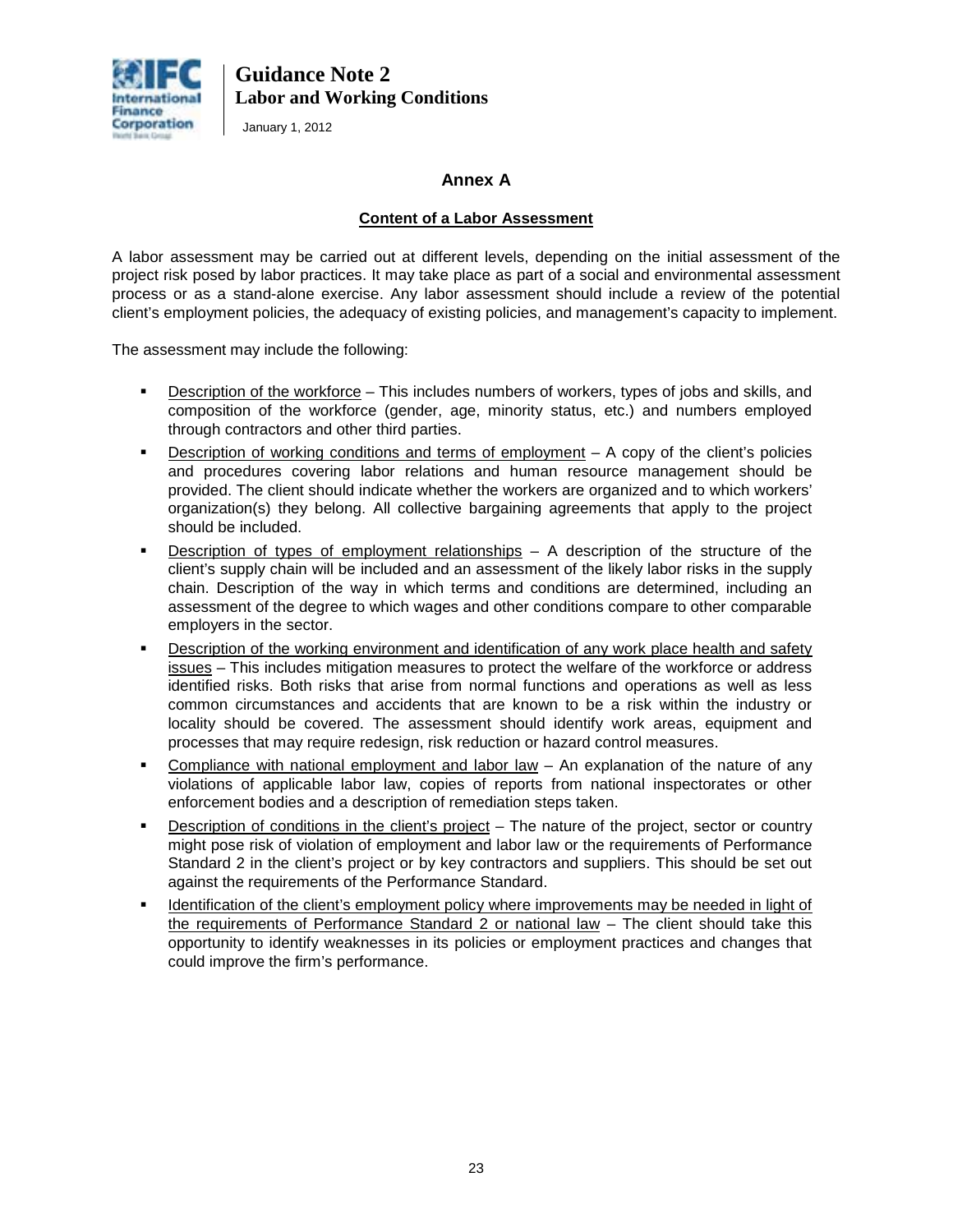

January 1, 2012

# **Annex A**

## **Content of a Labor Assessment**

A labor assessment may be carried out at different levels, depending on the initial assessment of the project risk posed by labor practices. It may take place as part of a social and environmental assessment process or as a stand-alone exercise. Any labor assessment should include a review of the potential client's employment policies, the adequacy of existing policies, and management's capacity to implement.

The assessment may include the following:

- **Description of the workforce This includes numbers of workers, types of jobs and skills, and** composition of the workforce (gender, age, minority status, etc.) and numbers employed through contractors and other third parties.
- Description of working conditions and terms of employment A copy of the client's policies and procedures covering labor relations and human resource management should be provided. The client should indicate whether the workers are organized and to which workers' organization(s) they belong. All collective bargaining agreements that apply to the project should be included.
- Description of types of employment relationships A description of the structure of the client's supply chain will be included and an assessment of the likely labor risks in the supply chain. Description of the way in which terms and conditions are determined, including an assessment of the degree to which wages and other conditions compare to other comparable employers in the sector.
- Description of the working environment and identification of any work place health and safety issues – This includes mitigation measures to protect the welfare of the workforce or address identified risks. Both risks that arise from normal functions and operations as well as less common circumstances and accidents that are known to be a risk within the industry or locality should be covered. The assessment should identify work areas, equipment and processes that may require redesign, risk reduction or hazard control measures.
- Compliance with national employment and labor law An explanation of the nature of any violations of applicable labor law, copies of reports from national inspectorates or other enforcement bodies and a description of remediation steps taken.
- Description of conditions in the client's project The nature of the project, sector or country might pose risk of violation of employment and labor law or the requirements of Performance Standard 2 in the client's project or by key contractors and suppliers. This should be set out against the requirements of the Performance Standard.
- Identification of the client's employment policy where improvements may be needed in light of the requirements of Performance Standard 2 or national law – The client should take this opportunity to identify weaknesses in its policies or employment practices and changes that could improve the firm's performance.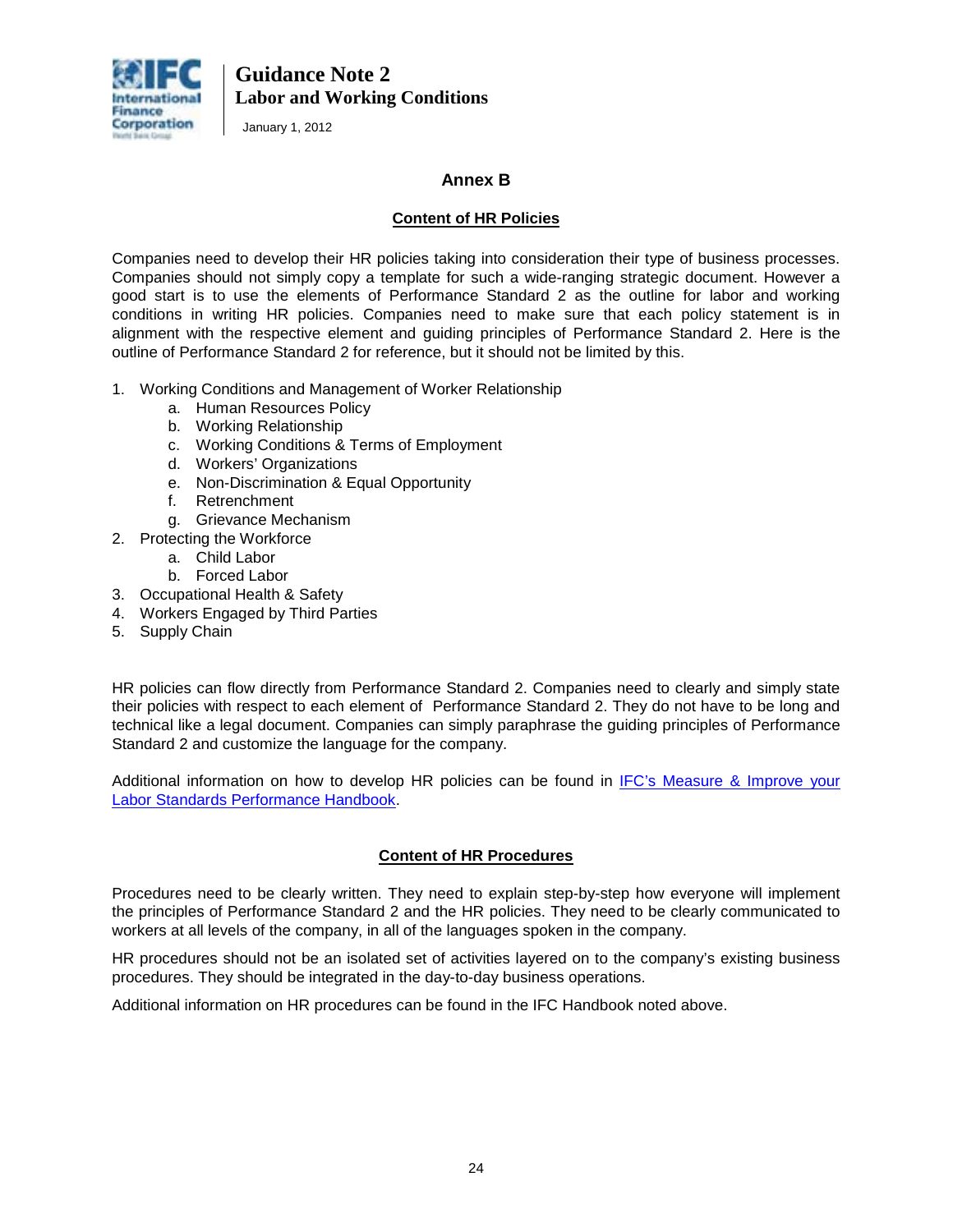

January 1, 2012

# **Annex B**

# **Content of HR Policies**

Companies need to develop their HR policies taking into consideration their type of business processes. Companies should not simply copy a template for such a wide-ranging strategic document. However a good start is to use the elements of Performance Standard 2 as the outline for labor and working conditions in writing HR policies. Companies need to make sure that each policy statement is in alignment with the respective element and guiding principles of Performance Standard 2. Here is the outline of Performance Standard 2 for reference, but it should not be limited by this.

- 1. Working Conditions and Management of Worker Relationship
	- a. Human Resources Policy
	- b. Working Relationship
	- c. Working Conditions & Terms of Employment
	- d. Workers' Organizations
	- e. Non-Discrimination & Equal Opportunity
	- f. Retrenchment
	- g. Grievance Mechanism
- 2. Protecting the Workforce
	- a. Child Labor
	- b. Forced Labor
- 3. Occupational Health & Safety
- 4. Workers Engaged by Third Parties
- 5. Supply Chain

HR policies can flow directly from Performance Standard 2. Companies need to clearly and simply state their policies with respect to each element of Performance Standard 2. They do not have to be long and technical like a legal document. Companies can simply paraphrase the guiding principles of Performance Standard 2 and customize the language for the company.

Additional information on how to develop HR policies can be found in [IFC's Measure & Improve your](http://www1.ifc.org/wps/wcm/connect/Topics_ext_content/ifc_external_corporate_site/IFC%20Sustainability/Publications/Publications_Handbook_LaborStandardsPerformance__WCI__1319577153058?id=0b26798048d2ea1eb8c1bd4b02f32852&WCM_Page.ResetAll=TRUE&CACHE=NONE&C)  [Labor Standards Performance Handbook.](http://www1.ifc.org/wps/wcm/connect/Topics_ext_content/ifc_external_corporate_site/IFC%20Sustainability/Publications/Publications_Handbook_LaborStandardsPerformance__WCI__1319577153058?id=0b26798048d2ea1eb8c1bd4b02f32852&WCM_Page.ResetAll=TRUE&CACHE=NONE&C)

# **Content of HR Procedures**

Procedures need to be clearly written. They need to explain step-by-step how everyone will implement the principles of Performance Standard 2 and the HR policies. They need to be clearly communicated to workers at all levels of the company, in all of the languages spoken in the company.

HR procedures should not be an isolated set of activities layered on to the company's existing business procedures. They should be integrated in the day-to-day business operations.

Additional information on HR procedures can be found in the IFC Handbook noted above.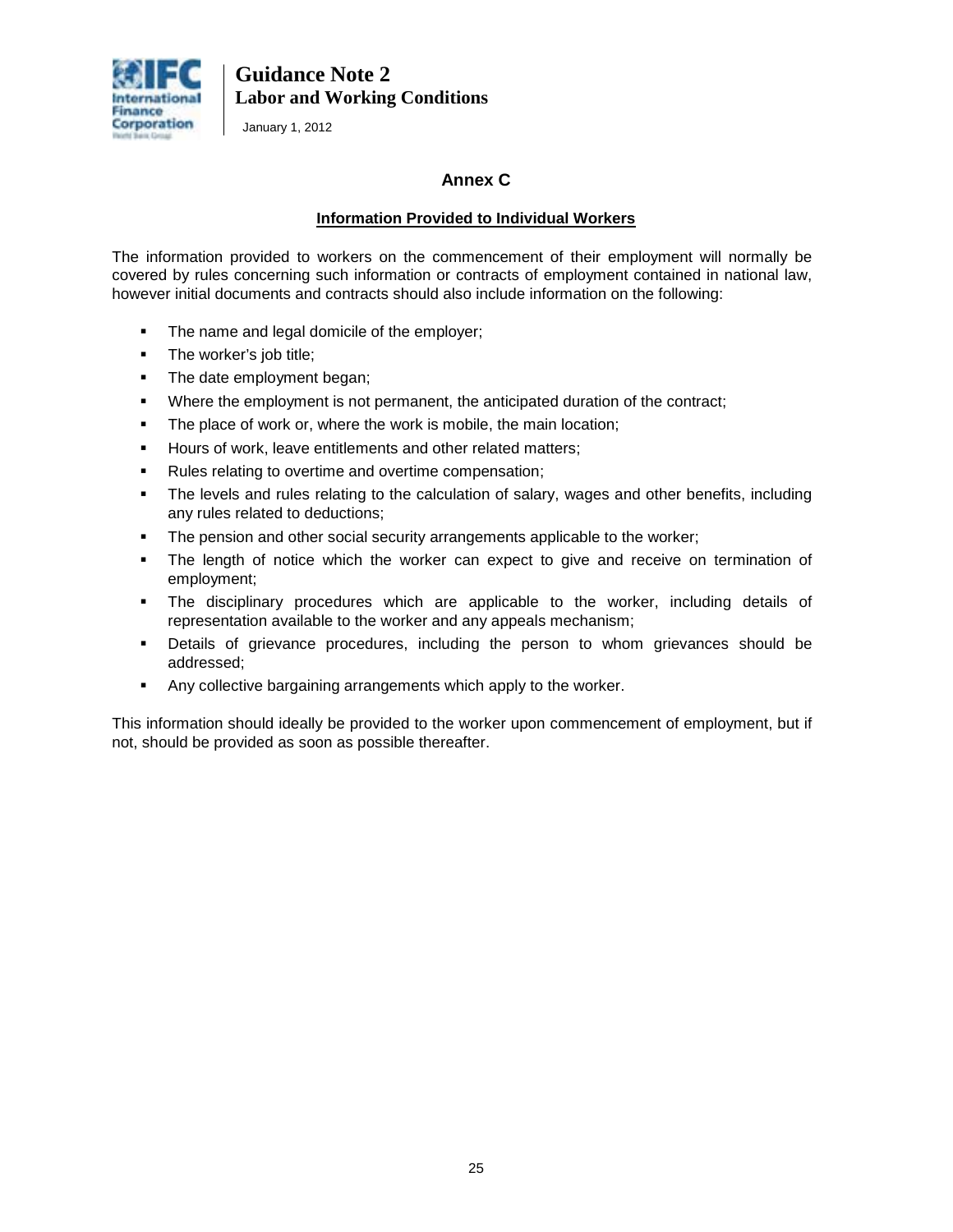

January 1, 2012

# **Annex C**

# **Information Provided to Individual Workers**

The information provided to workers on the commencement of their employment will normally be covered by rules concerning such information or contracts of employment contained in national law, however initial documents and contracts should also include information on the following:

- The name and legal domicile of the employer;
- The worker's job title;
- The date employment began;
- Where the employment is not permanent, the anticipated duration of the contract;
- **The place of work or, where the work is mobile, the main location;**
- **Hours of work, leave entitlements and other related matters;**
- **Rules relating to overtime and overtime compensation;**
- The levels and rules relating to the calculation of salary, wages and other benefits, including any rules related to deductions;
- **The pension and other social security arrangements applicable to the worker;**
- The length of notice which the worker can expect to give and receive on termination of employment;
- The disciplinary procedures which are applicable to the worker, including details of representation available to the worker and any appeals mechanism;
- Details of grievance procedures, including the person to whom grievances should be addressed;
- Any collective bargaining arrangements which apply to the worker.

This information should ideally be provided to the worker upon commencement of employment, but if not, should be provided as soon as possible thereafter.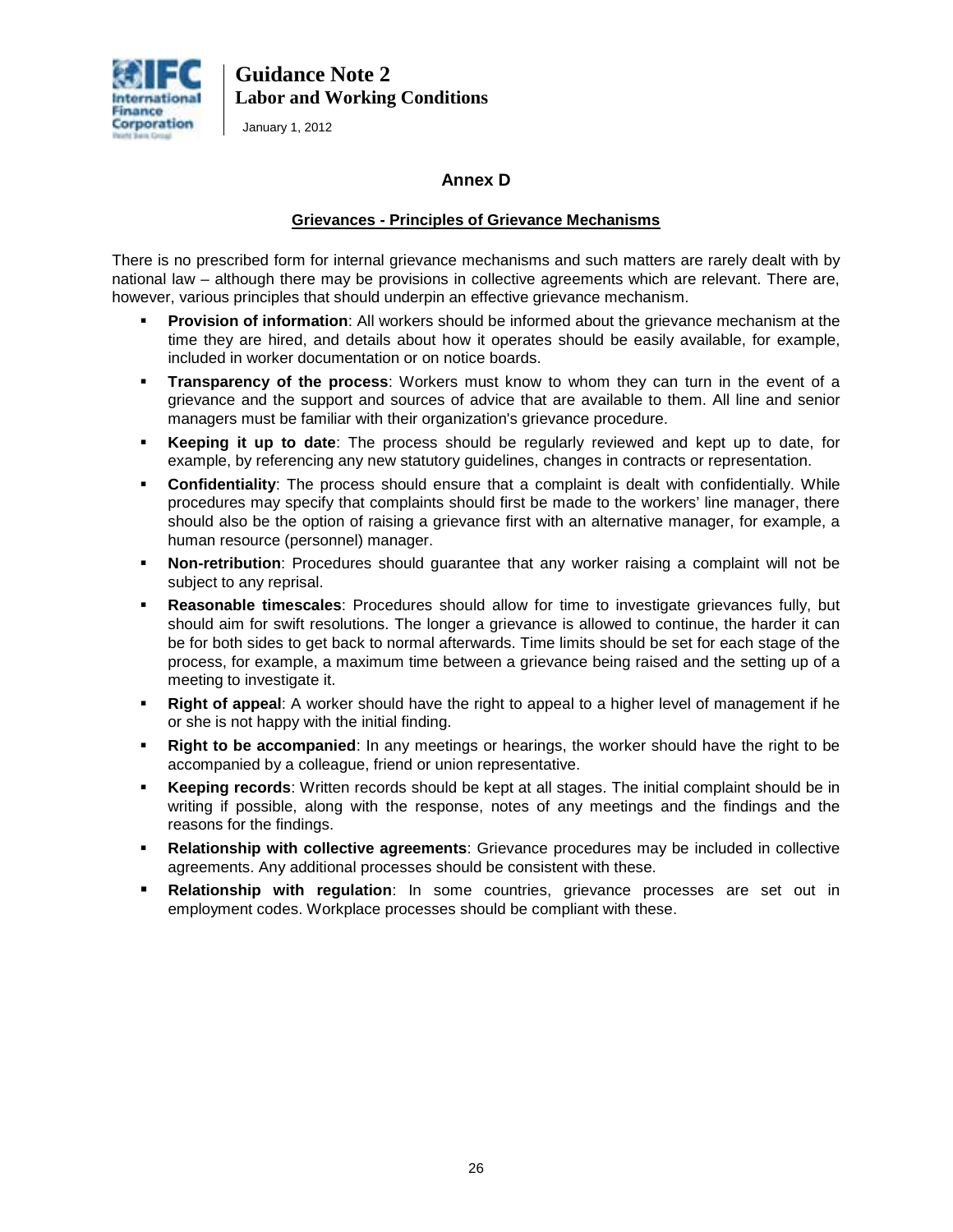

January 1, 2012

# **Annex D**

## **Grievances - Principles of Grievance Mechanisms**

There is no prescribed form for internal grievance mechanisms and such matters are rarely dealt with by national law – although there may be provisions in collective agreements which are relevant. There are, however, various principles that should underpin an effective grievance mechanism.

- **Provision of information**: All workers should be informed about the grievance mechanism at the time they are hired, and details about how it operates should be easily available, for example, included in worker documentation or on notice boards.
- **Transparency of the process**: Workers must know to whom they can turn in the event of a grievance and the support and sources of advice that are available to them. All line and senior managers must be familiar with their organization's grievance procedure.
- **Keeping it up to date**: The process should be regularly reviewed and kept up to date, for example, by referencing any new statutory guidelines, changes in contracts or representation.
- **Confidentiality**: The process should ensure that a complaint is dealt with confidentially. While procedures may specify that complaints should first be made to the workers' line manager, there should also be the option of raising a grievance first with an alternative manager, for example, a human resource (personnel) manager.
- **Non-retribution**: Procedures should guarantee that any worker raising a complaint will not be subject to any reprisal.
- **Reasonable timescales**: Procedures should allow for time to investigate grievances fully, but should aim for swift resolutions. The longer a grievance is allowed to continue, the harder it can be for both sides to get back to normal afterwards. Time limits should be set for each stage of the process, for example, a maximum time between a grievance being raised and the setting up of a meeting to investigate it.
- **Right of appeal**: A worker should have the right to appeal to a higher level of management if he or she is not happy with the initial finding.
- **Right to be accompanied**: In any meetings or hearings, the worker should have the right to be accompanied by a colleague, friend or union representative.
- **Keeping records**: Written records should be kept at all stages. The initial complaint should be in writing if possible, along with the response, notes of any meetings and the findings and the reasons for the findings.
- **Relationship with collective agreements**: Grievance procedures may be included in collective agreements. Any additional processes should be consistent with these.
- **Relationship with regulation**: In some countries, grievance processes are set out in employment codes. Workplace processes should be compliant with these.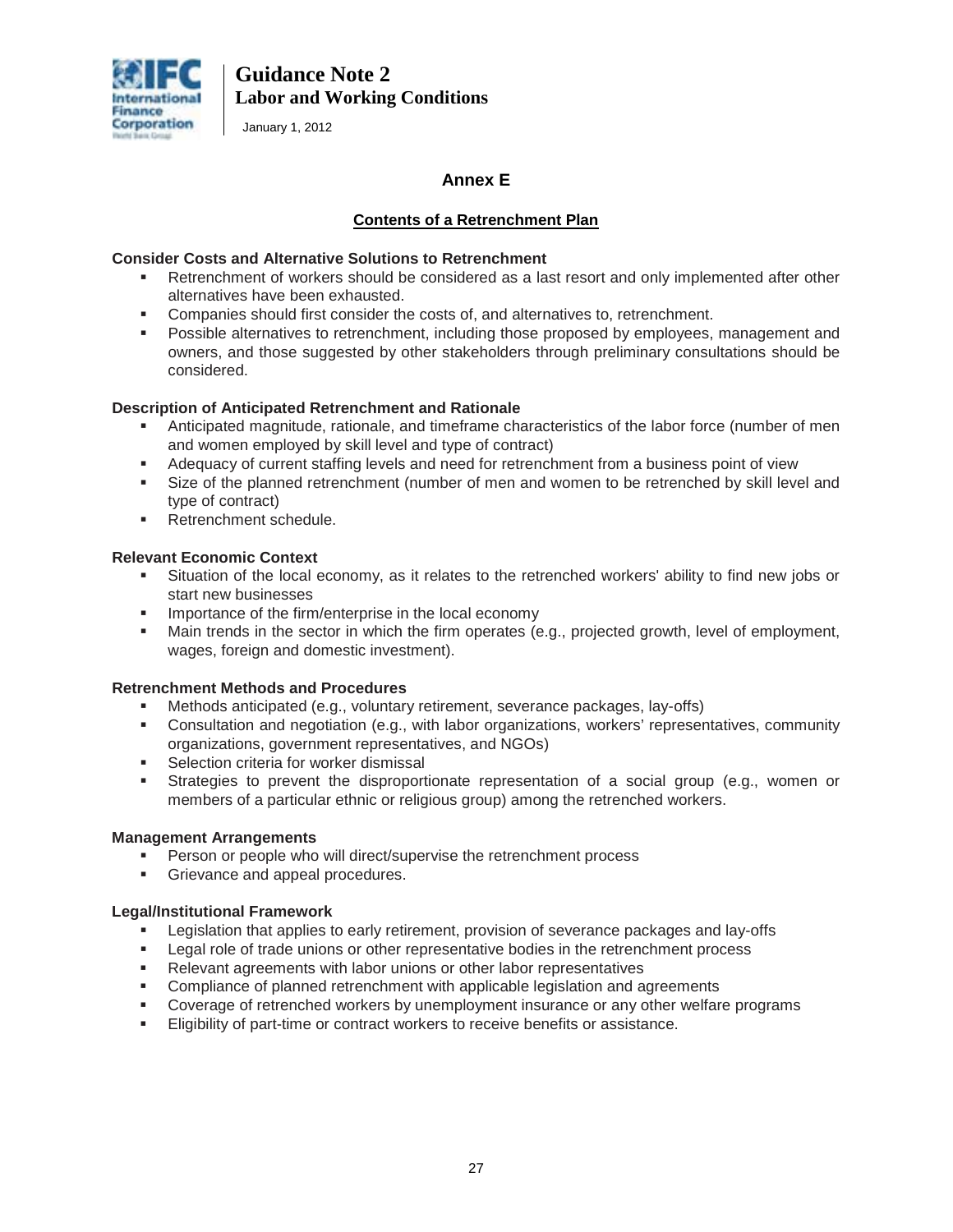

January 1, 2012

# **Annex E**

# **Contents of a Retrenchment Plan**

## **Consider Costs and Alternative Solutions to Retrenchment**

- Retrenchment of workers should be considered as a last resort and only implemented after other alternatives have been exhausted.
- Companies should first consider the costs of, and alternatives to, retrenchment.
- **Possible alternatives to retrenchment, including those proposed by employees, management and** owners, and those suggested by other stakeholders through preliminary consultations should be considered.

## **Description of Anticipated Retrenchment and Rationale**

- Anticipated magnitude, rationale, and timeframe characteristics of the labor force (number of men and women employed by skill level and type of contract)
- Adequacy of current staffing levels and need for retrenchment from a business point of view
- Size of the planned retrenchment (number of men and women to be retrenched by skill level and type of contract)
- **Retrenchment schedule**

## **Relevant Economic Context**

- Situation of the local economy, as it relates to the retrenched workers' ability to find new jobs or start new businesses
- **IMPORTANCE OF the firm/enterprise in the local economy**
- Main trends in the sector in which the firm operates (e.g., projected growth, level of employment, wages, foreign and domestic investment).

## **Retrenchment Methods and Procedures**

- Methods anticipated (e.g., voluntary retirement, severance packages, lay-offs)
- Consultation and negotiation (e.g., with labor organizations, workers' representatives, community organizations, government representatives, and NGOs)
- **Selection criteria for worker dismissal**
- Strategies to prevent the disproportionate representation of a social group (e.g., women or members of a particular ethnic or religious group) among the retrenched workers.

## **Management Arrangements**

- Person or people who will direct/supervise the retrenchment process
- **Grievance and appeal procedures.**

## **Legal/Institutional Framework**

- Legislation that applies to early retirement, provision of severance packages and lay-offs
- Legal role of trade unions or other representative bodies in the retrenchment process
- **Relevant agreements with labor unions or other labor representatives**
- Compliance of planned retrenchment with applicable legislation and agreements
- Coverage of retrenched workers by unemployment insurance or any other welfare programs
- **Eligibility of part-time or contract workers to receive benefits or assistance.**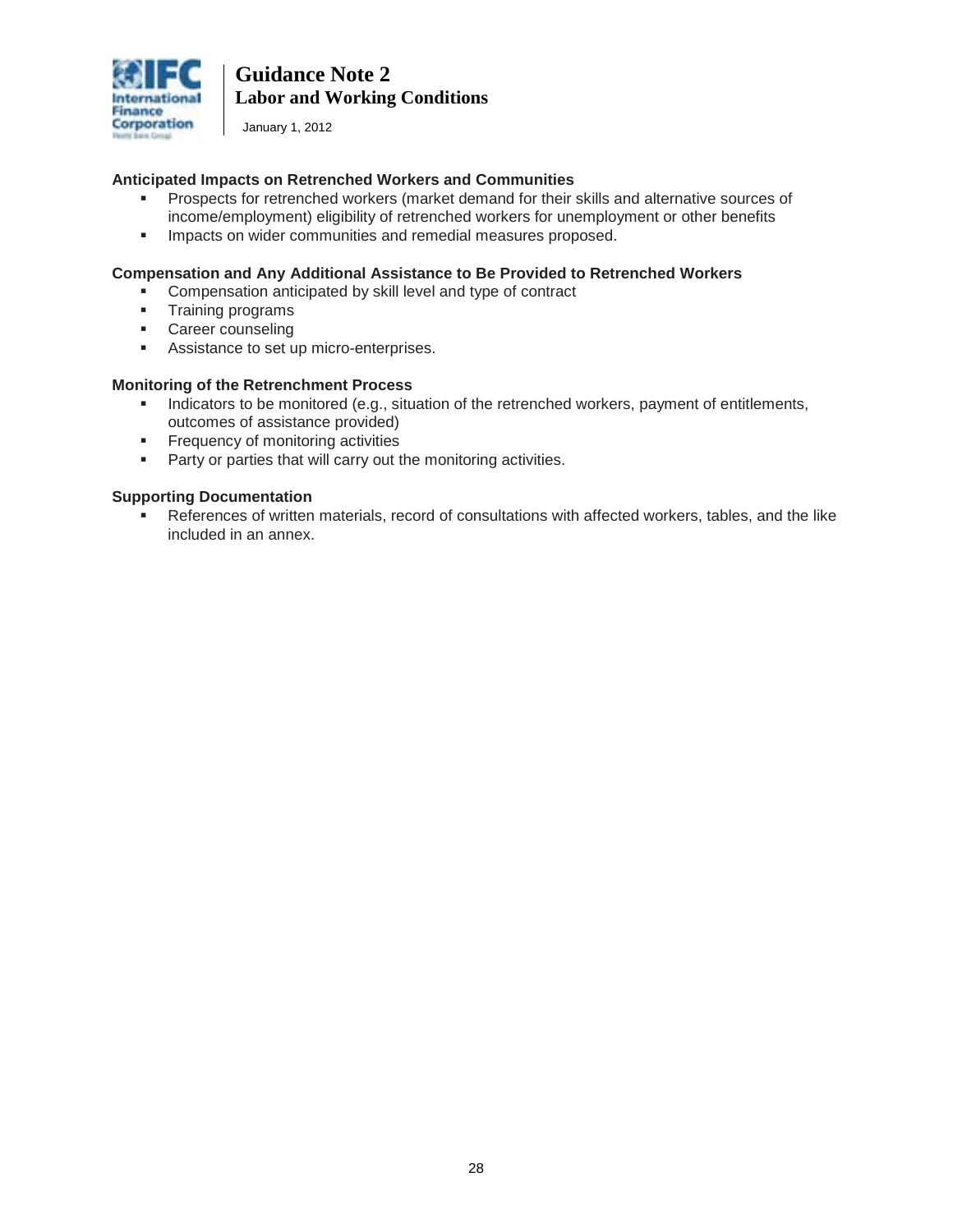

January 1, 2012

## **Anticipated Impacts on Retrenched Workers and Communities**

- Prospects for retrenched workers (market demand for their skills and alternative sources of income/employment) eligibility of retrenched workers for unemployment or other benefits
- **IMPACT COMMUNIST IMPACTS** on wider communities and remedial measures proposed.

#### **Compensation and Any Additional Assistance to Be Provided to Retrenched Workers**

- **EXECOMPERIM** Compensation anticipated by skill level and type of contract
- **Training programs**
- **Career counseling**
- **Assistance to set up micro-enterprises.**

#### **Monitoring of the Retrenchment Process**

- Indicators to be monitored (e.g., situation of the retrenched workers, payment of entitlements, outcomes of assistance provided)
- **Figure 1** Frequency of monitoring activities
- **Party or parties that will carry out the monitoring activities.**

#### **Supporting Documentation**

 References of written materials, record of consultations with affected workers, tables, and the like included in an annex.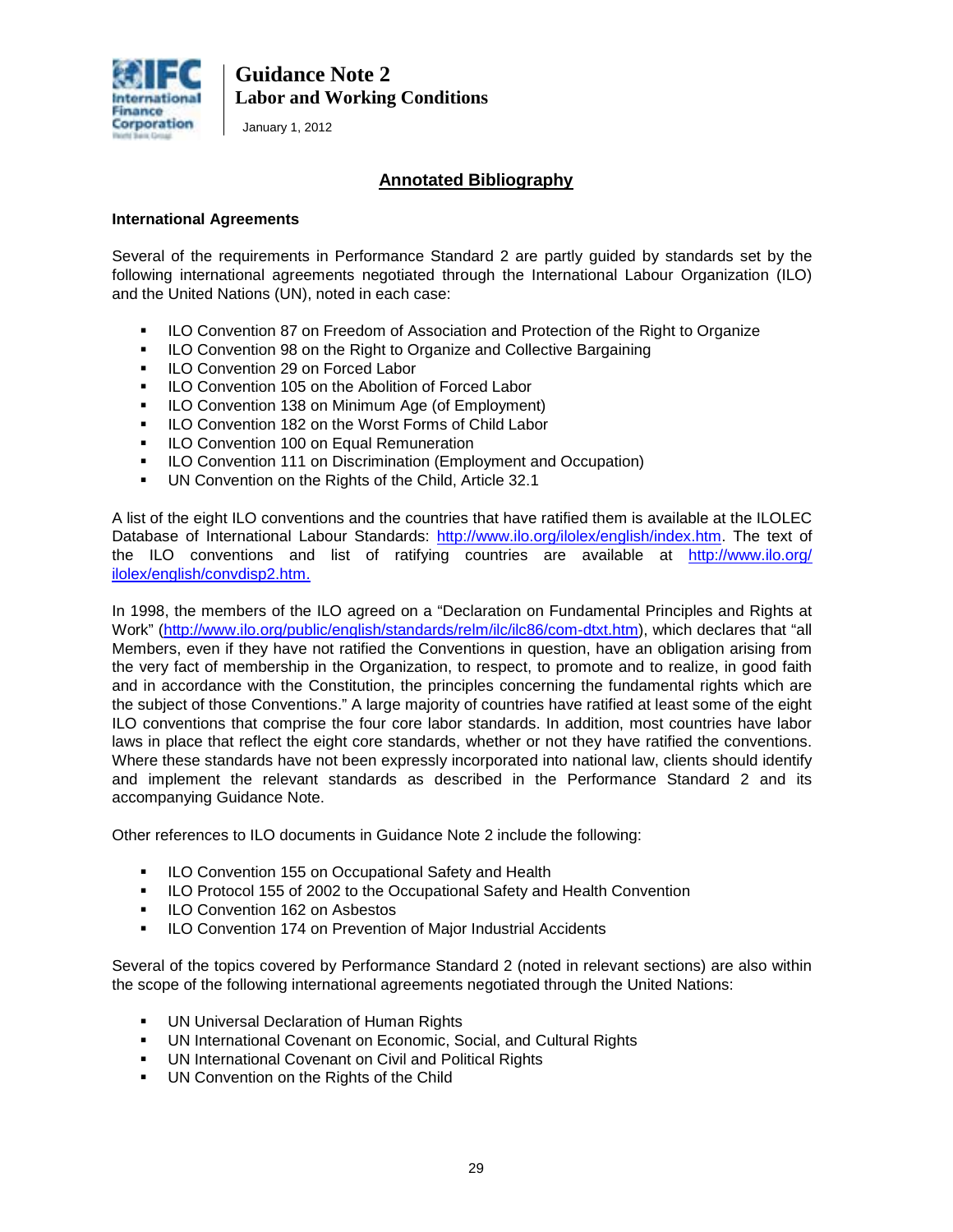

January 1, 2012

# **Annotated Bibliography**

#### **International Agreements**

Several of the requirements in Performance Standard 2 are partly guided by standards set by the following international agreements negotiated through the International Labour Organization (ILO) and the United Nations (UN), noted in each case:

- **ILO Convention 87 on Freedom of Association and Protection of the Right to Organize**
- **ILO Convention 98 on the Right to Organize and Collective Bargaining**
- **ILO Convention 29 on Forced Labor**
- **ILO Convention 105 on the Abolition of Forced Labor**
- **ILO Convention 138 on Minimum Age (of Employment)**
- **ILO Convention 182 on the Worst Forms of Child Labor**
- **ILO Convention 100 on Equal Remuneration**
- **ILO Convention 111 on Discrimination (Employment and Occupation)**
- UN Convention on the Rights of the Child, Article 32.1

A list of the eight ILO conventions and the countries that have ratified them is available at the ILOLEC Database of International Labour Standards: [http://www.ilo.org/ilolex/english/index.htm.](http://www.ilo.org/ilolex/english/index.htm) The text of the ILO conventions and list of ratifying countries are available at [http://www.ilo.org/](http://www.ilo.org/ilolex/english/convdisp2.htm) [ilolex/english/convdisp2.htm.](http://www.ilo.org/ilolex/english/convdisp2.htm)

In 1998, the members of the ILO agreed on a "Declaration on Fundamental Principles and Rights at Work" [\(http://www.ilo.org/public/english/standards/relm/ilc/ilc86/com-dtxt.htm\)](http://www.ilo.org/public/english/standards/relm/ilc/ilc86/com-dtxt.htm), which declares that "all Members, even if they have not ratified the Conventions in question, have an obligation arising from the very fact of membership in the Organization, to respect, to promote and to realize, in good faith and in accordance with the Constitution, the principles concerning the fundamental rights which are the subject of those Conventions." A large majority of countries have ratified at least some of the eight ILO conventions that comprise the four core labor standards. In addition, most countries have labor laws in place that reflect the eight core standards, whether or not they have ratified the conventions. Where these standards have not been expressly incorporated into national law, clients should identify and implement the relevant standards as described in the Performance Standard 2 and its accompanying Guidance Note.

Other references to ILO documents in Guidance Note 2 include the following:

- **ILO Convention 155 on Occupational Safety and Health**
- ILO Protocol 155 of 2002 to the Occupational Safety and Health Convention
- **ILO Convention 162 on Asbestos**
- **ILO Convention 174 on Prevention of Major Industrial Accidents**

Several of the topics covered by Performance Standard 2 (noted in relevant sections) are also within the scope of the following international agreements negotiated through the United Nations:

- **UN Universal Declaration of Human Rights**
- UN International Covenant on Economic, Social, and Cultural Rights
- **UN International Covenant on Civil and Political Rights**
- **UN Convention on the Rights of the Child**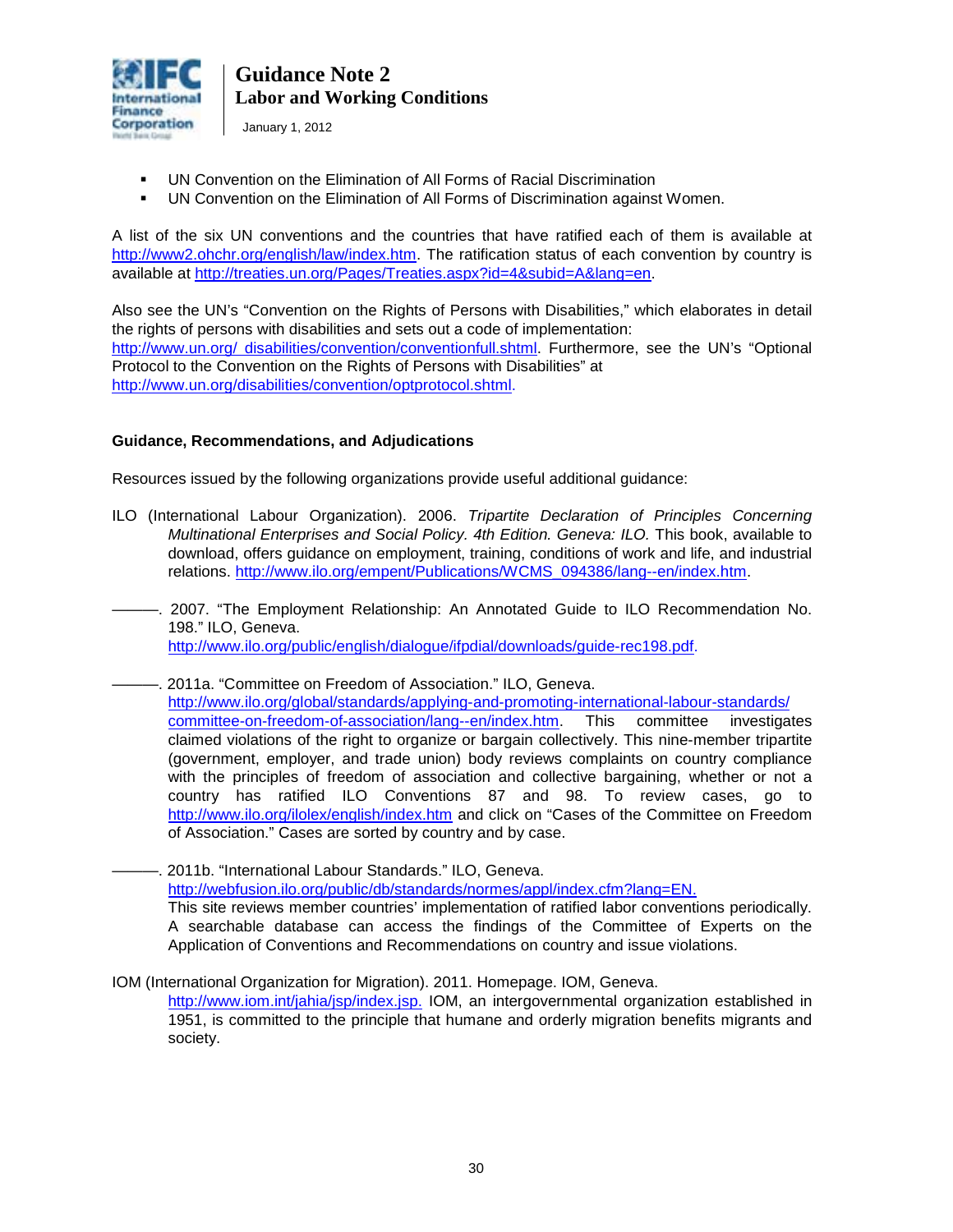

January 1, 2012

- UN Convention on the Elimination of All Forms of Racial Discrimination
- UN Convention on the Elimination of All Forms of Discrimination against Women.

A list of the six UN conventions and the countries that have ratified each of them is available at [http://www2.ohchr.org/english/law/index.htm.](http://www2.ohchr.org/english/law/index.htm) The ratification status of each convention by country is available at [http://treaties.un.org/Pages/Treaties.aspx?id=4&subid=A&lang=en.](http://treaties.un.org/Pages/Treaties.aspx?id=4&subid=A&lang=en)

Also see the UN's "Convention on the Rights of Persons with Disabilities," which elaborates in detail the rights of persons with disabilities and sets out a code of implementation: http://www.un.org/ [disabilities/convention/conventionfull.shtml.](http://www.un.org/disabilities/convention/conventionfull.shtml) Furthermore, see the UN's "Optional Protocol to the Convention on the Rights of Persons with Disabilities" at [http://www.un.org/disabilities/convention/optprotocol.shtml.](http://www.un.org/disabilities/convention/optprotocol.shtml)

## **Guidance, Recommendations, and Adjudications**

Resources issued by the following organizations provide useful additional guidance:

ILO (International Labour Organization). 2006. *Tripartite Declaration of Principles Concerning Multinational Enterprises and Social Policy. 4th Edition. Geneva: ILO.* This book, available to download, offers guidance on employment, training, conditions of work and life, and industrial relations. [http://www.ilo.org/empent/Publications/WCMS\\_094386/lang--en/index.htm.](http://www.ilo.org/empent/Publications/WCMS_094386/lang--en/index.htm)

———. 2007. "The Employment Relationship: An Annotated Guide to ILO Recommendation No. 198." ILO, Geneva. [http://www.ilo.org/public/english/dialogue/ifpdial/downloads/guide-rec198.pdf.](http://www.ilo.org/public/english/dialogue/ifpdial/downloads/guide-rec198.pdf)

2011a. "Committee on Freedom of Association." ILO, Geneva. [http://www.ilo.org/global/standards/applying-and-promoting-international-labour-standards/](http://www.ilo.org/global/standards/applying-and-promoting-international-labour-standards/%20committee-on-freedom-of-association/lang--en/index.htm)  [committee-on-freedom-of-association/lang--en/index.htm.](http://www.ilo.org/global/standards/applying-and-promoting-international-labour-standards/%20committee-on-freedom-of-association/lang--en/index.htm) This committee investigates claimed violations of the right to organize or bargain collectively. This nine-member tripartite (government, employer, and trade union) body reviews complaints on country compliance with the principles of freedom of association and collective bargaining, whether or not a country has ratified ILO Conventions 87 and 98. To review cases, go to <http://www.ilo.org/ilolex/english/index.htm> and click on "Cases of the Committee on Freedom of Association." Cases are sorted by country and by case.

-. 2011b. "International Labour Standards." ILO, Geneva. [http://webfusion.ilo.org/public/db/standards/normes/appl/index.cfm?lang=EN.](http://webfusion.ilo.org/public/db/standards/normes/appl/index.cfm?lang=EN) This site reviews member countries' implementation of ratified labor conventions periodically. A searchable database can access the findings of the Committee of Experts on the Application of Conventions and Recommendations on country and issue violations.

IOM (International Organization for Migration). 2011. Homepage. IOM, Geneva.

[http://www.iom.int/jahia/jsp/index.jsp.](http://www.iom.int/jahia/jsp/index.jsp) IOM, an intergovernmental organization established in 1951, is committed to the principle that humane and orderly migration benefits migrants and society.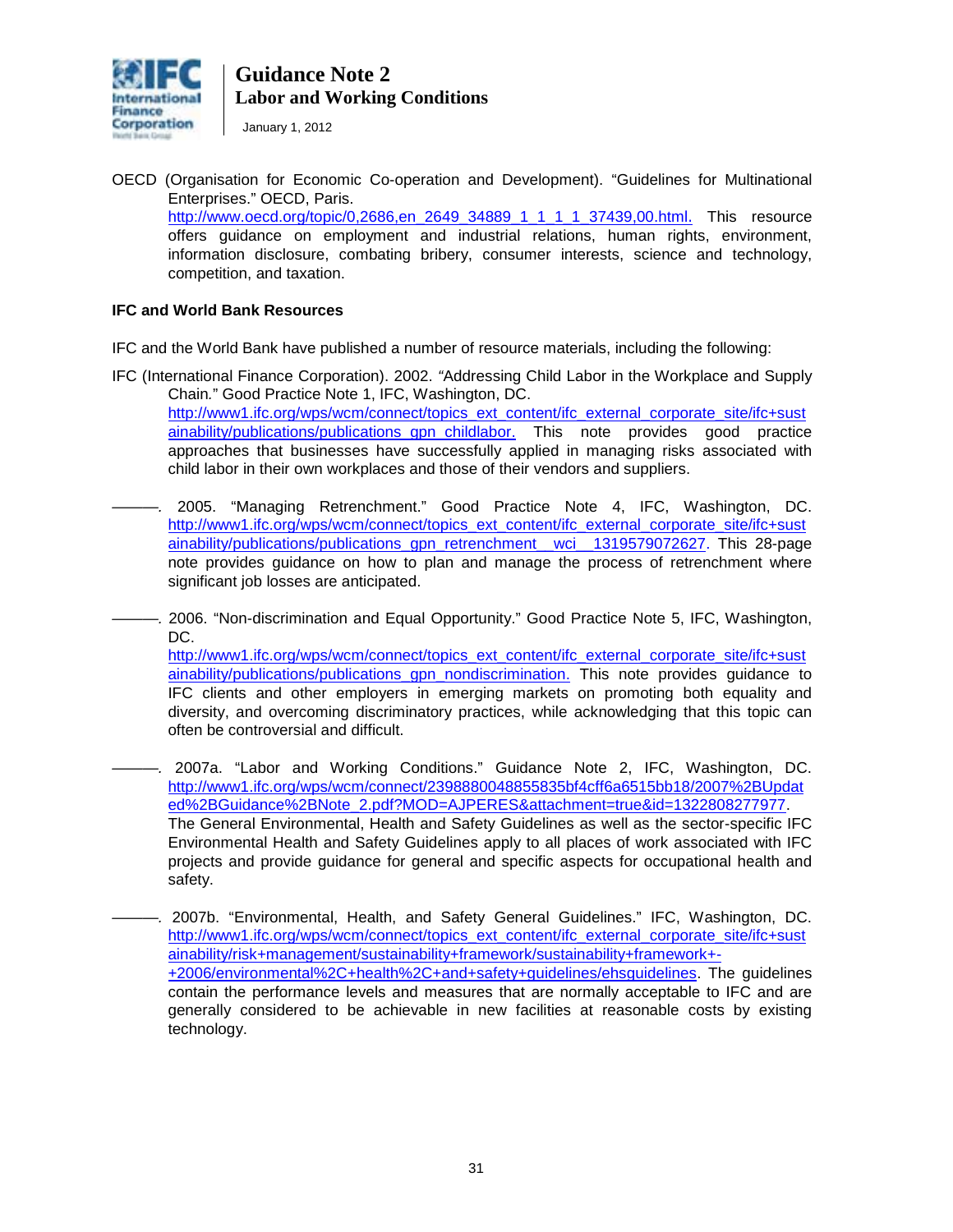

January 1, 2012

OECD (Organisation for Economic Co-operation and Development). "Guidelines for Multinational Enterprises." OECD, Paris. http://www.oecd.org/topic/0,2686,en\_2649\_34889\_1\_1\_1\_1\_1\_37439,00.html. This resource offers guidance on employment and industrial relations, human rights, environment, information disclosure, combating bribery, consumer interests, science and technology, competition, and taxation.

#### **IFC and World Bank Resources**

IFC and the World Bank have published a number of resource materials, including the following:

- IFC (International Finance Corporation). 2002. *"*Addressing Child Labor in the Workplace and Supply Chain*.*" Good Practice Note 1, IFC, Washington, DC. [http://www1.ifc.org/wps/wcm/connect/topics\\_ext\\_content/ifc\\_external\\_corporate\\_site/ifc+sust](http://www1.ifc.org/wps/wcm/connect/topics_ext_content/ifc_external_corporate_site/ifc+sustainability/publications/publications_gpn_childlabor) [ainability/publications/publications\\_gpn\\_childlabor.](http://www1.ifc.org/wps/wcm/connect/topics_ext_content/ifc_external_corporate_site/ifc+sustainability/publications/publications_gpn_childlabor) This note provides good practice approaches that businesses have successfully applied in managing risks associated with child labor in their own workplaces and those of their vendors and suppliers.
- *———.* 2005. "Managing Retrenchment." Good Practice Note 4, IFC, Washington, DC. [http://www1.ifc.org/wps/wcm/connect/topics\\_ext\\_content/ifc\\_external\\_corporate\\_site/ifc+sust](http://www1.ifc.org/wps/wcm/connect/topics_ext_content/ifc_external_corporate_site/ifc+sustainability/publications/publications_gpn_retrenchment__wci__1319579072627) [ainability/publications/publications\\_gpn\\_retrenchment\\_\\_wci\\_\\_1319579072627.](http://www1.ifc.org/wps/wcm/connect/topics_ext_content/ifc_external_corporate_site/ifc+sustainability/publications/publications_gpn_retrenchment__wci__1319579072627) This 28-page note provides guidance on how to plan and manage the process of retrenchment where significant job losses are anticipated.
- *———.* 2006. "Non-discrimination and Equal Opportunity." Good Practice Note 5, IFC, Washington, DC. [http://www1.ifc.org/wps/wcm/connect/topics\\_ext\\_content/ifc\\_external\\_corporate\\_site/ifc+sust](http://www1.ifc.org/wps/wcm/connect/topics_ext_content/ifc_external_corporate_site/ifc+sustainability/publications/publications_gpn_nondiscrimination) [ainability/publications/publications\\_gpn\\_nondiscrimination.](http://www1.ifc.org/wps/wcm/connect/topics_ext_content/ifc_external_corporate_site/ifc+sustainability/publications/publications_gpn_nondiscrimination) This note provides guidance to IFC clients and other employers in emerging markets on promoting both equality and diversity, and overcoming discriminatory practices, while acknowledging that this topic can often be controversial and difficult.
- *———.* 2007a. "Labor and Working Conditions." Guidance Note 2, IFC, Washington, DC. [http://www1.ifc.org/wps/wcm/connect/2398880048855835bf4cff6a6515bb18/2007%2BUpdat](http://www1.ifc.org/wps/wcm/connect/2398880048855835bf4cff6a6515bb18/2007%2BUpdated%2BGuidance%2BNote_2.pdf?MOD=AJPERES&attachment=true&id=1322808277977) [ed%2BGuidance%2BNote\\_2.pdf?MOD=AJPERES&attachment=true&id=1322808277977.](http://www1.ifc.org/wps/wcm/connect/2398880048855835bf4cff6a6515bb18/2007%2BUpdated%2BGuidance%2BNote_2.pdf?MOD=AJPERES&attachment=true&id=1322808277977) The General Environmental, Health and Safety Guidelines as well as the sector-specific IFC Environmental Health and Safety Guidelines apply to all places of work associated with IFC projects and provide guidance for general and specific aspects for occupational health and safety.
- *———.* 2007b. "Environmental, Health, and Safety General Guidelines." IFC, Washington, DC. [http://www1.ifc.org/wps/wcm/connect/topics\\_ext\\_content/ifc\\_external\\_corporate\\_site/ifc+sust](http://www1.ifc.org/wps/wcm/connect/topics_ext_content/ifc_external_corporate_site/ifc+sustainability/risk+management/sustainability+framework/sustainability+framework+-+2006/environmental%2C+health%2C+and+safety+guidelines/ehsguidelines) [ainability/risk+management/sustainability+framework/sustainability+framework+-](http://www1.ifc.org/wps/wcm/connect/topics_ext_content/ifc_external_corporate_site/ifc+sustainability/risk+management/sustainability+framework/sustainability+framework+-+2006/environmental%2C+health%2C+and+safety+guidelines/ehsguidelines) [+2006/environmental%2C+health%2C+and+safety+guidelines/ehsguidelines.](http://www1.ifc.org/wps/wcm/connect/topics_ext_content/ifc_external_corporate_site/ifc+sustainability/risk+management/sustainability+framework/sustainability+framework+-+2006/environmental%2C+health%2C+and+safety+guidelines/ehsguidelines) The guidelines contain the performance levels and measures that are normally acceptable to IFC and are generally considered to be achievable in new facilities at reasonable costs by existing technology.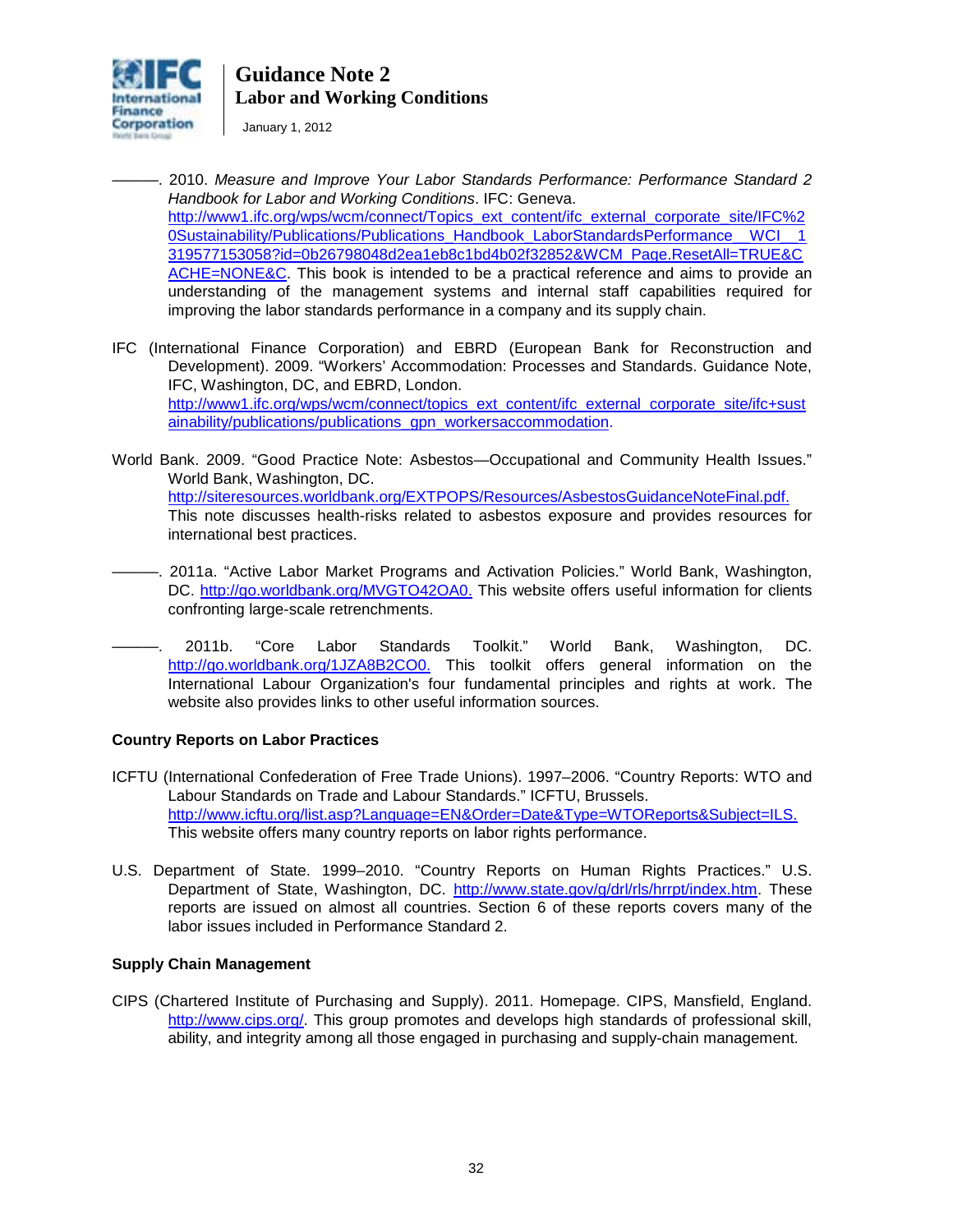

January 1, 2012

- ———. 2010. *Measure and Improve Your Labor Standards Performance: Performance Standard 2 Handbook for Labor and Working Conditions*. IFC: Geneva. [http://www1.ifc.org/wps/wcm/connect/Topics\\_ext\\_content/ifc\\_external\\_corporate\\_site/IFC%2](http://www1.ifc.org/wps/wcm/connect/Topics_ext_content/ifc_external_corporate_site/IFC%20Sustainability/Publications/Publications_Handbook_LaborStandardsPerformance__WCI__1319577153058?id=0b26798048d2ea1eb8c1bd4b02f32852&WCM_Page.ResetAll=TRUE&CACHE=NONE&C) [0Sustainability/Publications/Publications\\_Handbook\\_LaborStandardsPerformance\\_\\_WCI\\_\\_1](http://www1.ifc.org/wps/wcm/connect/Topics_ext_content/ifc_external_corporate_site/IFC%20Sustainability/Publications/Publications_Handbook_LaborStandardsPerformance__WCI__1319577153058?id=0b26798048d2ea1eb8c1bd4b02f32852&WCM_Page.ResetAll=TRUE&CACHE=NONE&C) [319577153058?id=0b26798048d2ea1eb8c1bd4b02f32852&WCM\\_Page.ResetAll=TRUE&C](http://www1.ifc.org/wps/wcm/connect/Topics_ext_content/ifc_external_corporate_site/IFC%20Sustainability/Publications/Publications_Handbook_LaborStandardsPerformance__WCI__1319577153058?id=0b26798048d2ea1eb8c1bd4b02f32852&WCM_Page.ResetAll=TRUE&CACHE=NONE&C) [ACHE=NONE&C.](http://www1.ifc.org/wps/wcm/connect/Topics_ext_content/ifc_external_corporate_site/IFC%20Sustainability/Publications/Publications_Handbook_LaborStandardsPerformance__WCI__1319577153058?id=0b26798048d2ea1eb8c1bd4b02f32852&WCM_Page.ResetAll=TRUE&CACHE=NONE&C) This book is intended to be a practical reference and aims to provide an understanding of the management systems and internal staff capabilities required for improving the labor standards performance in a company and its supply chain.
- IFC (International Finance Corporation) and EBRD (European Bank for Reconstruction and Development). 2009. "Workers' Accommodation: Processes and Standards. Guidance Note, IFC, Washington, DC, and EBRD, London. [http://www1.ifc.org/wps/wcm/connect/topics\\_ext\\_content/ifc\\_external\\_corporate\\_site/ifc+sust](http://www1.ifc.org/wps/wcm/connect/topics_ext_content/ifc_external_corporate_site/ifc+sustainability/publications/publications_gpn_workersaccommodation) [ainability/publications/publications\\_gpn\\_workersaccommodation.](http://www1.ifc.org/wps/wcm/connect/topics_ext_content/ifc_external_corporate_site/ifc+sustainability/publications/publications_gpn_workersaccommodation)
- World Bank. 2009. "Good Practice Note: Asbestos—Occupational and Community Health Issues." World Bank, Washington, DC. [http://siteresources.worldbank.org/EXTPOPS/Resources/AsbestosGuidanceNoteFinal.pdf.](http://siteresources.worldbank.org/EXTPOPS/Resources/AsbestosGuidanceNoteFinal.pdf) This note discusses health-risks related to asbestos exposure and provides resources for international best practices.
- -. 2011a. "Active Labor Market Programs and Activation Policies." World Bank, Washington, DC. [http://go.worldbank.org/MVGTO42OA0.](http://go.worldbank.org/MVGTO42OA0) This website offers useful information for clients confronting large-scale retrenchments.
- ———. 2011b. "Core Labor Standards Toolkit." World Bank, Washington, DC. [http://go.worldbank.org/1JZA8B2CO0.](http://go.worldbank.org/1JZA8B2CO0) This toolkit offers general information on the International Labour Organization's four fundamental principles and rights at work. The website also provides links to other useful information sources.

# **Country Reports on Labor Practices**

- ICFTU (International Confederation of Free Trade Unions). 1997–2006. "Country Reports: WTO and Labour Standards on Trade and Labour Standards." ICFTU, Brussels. [http://www.icftu.org/list.asp?Language=EN&Order=Date&Type=WTOReports&Subject=ILS.](http://www.icftu.org/list.asp?Language=EN&Order=Date&Type=WTOReports&Subject=ILS) This website offers many country reports on labor rights performance.
- U.S. Department of State. 1999–2010. "Country Reports on Human Rights Practices." U.S. Department of State, Washington, DC. [http://www.state.gov/g/drl/rls/hrrpt/index.htm.](http://www.state.gov/g/drl/rls/hrrpt/index.htm) These reports are issued on almost all countries. Section 6 of these reports covers many of the labor issues included in Performance Standard 2.

## **Supply Chain Management**

CIPS (Chartered Institute of Purchasing and Supply). 2011. Homepage. CIPS, Mansfield, England. [http://www.cips.org/.](http://www.cips.org/) This group promotes and develops high standards of professional skill, ability, and integrity among all those engaged in purchasing and supply-chain management.